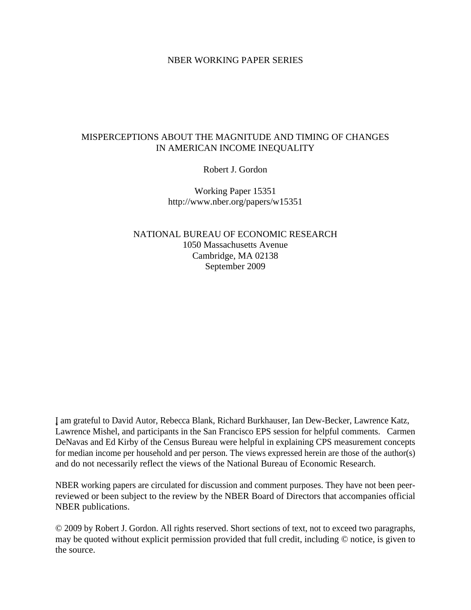## NBER WORKING PAPER SERIES

## MISPERCEPTIONS ABOUT THE MAGNITUDE AND TIMING OF CHANGES IN AMERICAN INCOME INEQUALITY

Robert J. Gordon

Working Paper 15351 http://www.nber.org/papers/w15351

NATIONAL BUREAU OF ECONOMIC RESEARCH 1050 Massachusetts Avenue Cambridge, MA 02138 September 2009

¸˛I am grateful to David Autor, Rebecca Blank, Richard Burkhauser, Ian Dew-Becker, Lawrence Katz, Lawrence Mishel, and participants in the San Francisco EPS session for helpful comments. Carmen DeNavas and Ed Kirby of the Census Bureau were helpful in explaining CPS measurement concepts for median income per household and per person. The views expressed herein are those of the author(s) and do not necessarily reflect the views of the National Bureau of Economic Research.

NBER working papers are circulated for discussion and comment purposes. They have not been peerreviewed or been subject to the review by the NBER Board of Directors that accompanies official NBER publications.

© 2009 by Robert J. Gordon. All rights reserved. Short sections of text, not to exceed two paragraphs, may be quoted without explicit permission provided that full credit, including © notice, is given to the source.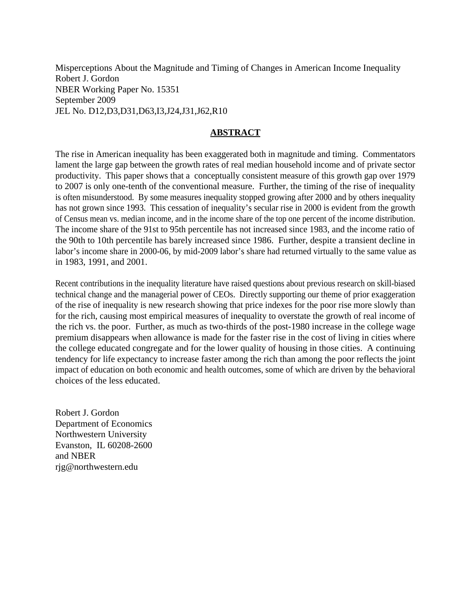Misperceptions About the Magnitude and Timing of Changes in American Income Inequality Robert J. Gordon NBER Working Paper No. 15351 September 2009 JEL No. D12,D3,D31,D63,I3,J24,J31,J62,R10

# **ABSTRACT**

The rise in American inequality has been exaggerated both in magnitude and timing. Commentators lament the large gap between the growth rates of real median household income and of private sector productivity. This paper shows that a conceptually consistent measure of this growth gap over 1979 to 2007 is only one-tenth of the conventional measure. Further, the timing of the rise of inequality is often misunderstood. By some measures inequality stopped growing after 2000 and by others inequality has not grown since 1993. This cessation of inequality's secular rise in 2000 is evident from the growth of Census mean vs. median income, and in the income share of the top one percent of the income distribution. The income share of the 91st to 95th percentile has not increased since 1983, and the income ratio of the 90th to 10th percentile has barely increased since 1986. Further, despite a transient decline in labor's income share in 2000-06, by mid-2009 labor's share had returned virtually to the same value as in 1983, 1991, and 2001.

Recent contributions in the inequality literature have raised questions about previous research on skill-biased technical change and the managerial power of CEOs. Directly supporting our theme of prior exaggeration of the rise of inequality is new research showing that price indexes for the poor rise more slowly than for the rich, causing most empirical measures of inequality to overstate the growth of real income of the rich vs. the poor. Further, as much as two-thirds of the post-1980 increase in the college wage premium disappears when allowance is made for the faster rise in the cost of living in cities where the college educated congregate and for the lower quality of housing in those cities. A continuing tendency for life expectancy to increase faster among the rich than among the poor reflects the joint impact of education on both economic and health outcomes, some of which are driven by the behavioral choices of the less educated.

Robert J. Gordon Department of Economics Northwestern University Evanston, IL 60208-2600 and NBER rjg@northwestern.edu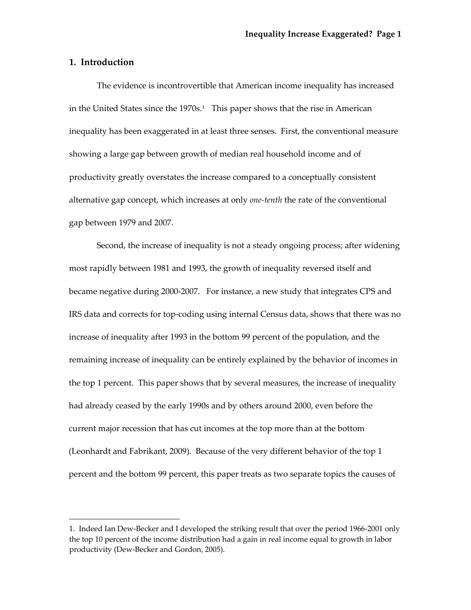## **1. Introduction**

The evidence is incontrovertible that American income inequality has increased in the United States since the  $1970s<sup>1</sup>$  $1970s<sup>1</sup>$ . This paper shows that the rise in American inequality has been exaggerated in at least three senses. First, the conventional measure showing a large gap between growth of median real household income and of productivity greatly overstates the increase compared to a conceptually consistent alternative gap concept, which increases at only *one‐tenth* the rate of the conventional gap between 1979 and 2007.

Second, the increase of inequality is not a steady ongoing process; after widening most rapidly between 1981 and 1993, the growth of inequality reversed itself and became negative during 2000-2007. For instance, a new study that integrates CPS and IRS data and corrects for top‐coding using internal Census data, shows that there was no increase of inequality after 1993 in the bottom 99 percent of the population, and the remaining increase of inequality can be entirely explained by the behavior of incomes in the top 1 percent. This paper shows that by several measures, the increase of inequality had already ceased by the early 1990s and by others around 2000, even before the current major recession that has cut incomes at the top more than at the bottom (Leonhardt and Fabrikant, 2009). Because of the very different behavior of the top 1 percent and the bottom 99 percent, this paper treats as two separate topics the causes of

<span id="page-2-0"></span><sup>1.</sup> Indeed Ian Dew‐Becker and I developed the striking result that over the period 1966‐2001 only the top 10 percent of the income distribution had a gain in real income equal to growth in labor productivity (Dew‐Becker and Gordon, 2005).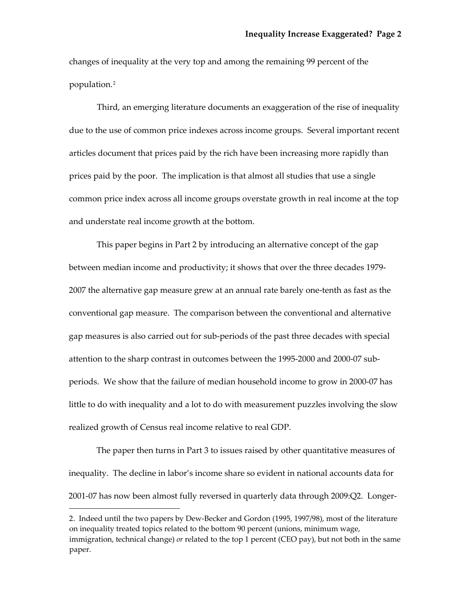changes of inequality at the very top and among the remaining 99 percent of the population.[2](#page-3-0)

Third, an emerging literature documents an exaggeration of the rise of inequality due to the use of common price indexes across income groups. Several important recent articles document that prices paid by the rich have been increasing more rapidly than prices paid by the poor. The implication is that almost all studies that use a single common price index across all income groups overstate growth in real income at the top and understate real income growth at the bottom.

This paper begins in Part 2 by introducing an alternative concept of the gap between median income and productivity; it shows that over the three decades 1979‐ 2007 the alternative gap measure grew at an annual rate barely one‐tenth as fast as the conventional gap measure. The comparison between the conventional and alternative gap measures is also carried out for sub‐periods of the past three decades with special attention to the sharp contrast in outcomes between the 1995‐2000 and 2000‐07 sub‐ periods. We show that the failure of median household income to grow in 2000‐07 has little to do with inequality and a lot to do with measurement puzzles involving the slow realized growth of Census real income relative to real GDP.

The paper then turns in Part 3 to issues raised by other quantitative measures of inequality. The decline in labor's income share so evident in national accounts data for 2001‐07 has now been almost fully reversed in quarterly data through 2009:Q2. Longer‐

<span id="page-3-0"></span><sup>2.</sup> Indeed until the two papers by Dew‐Becker and Gordon (1995, 1997/98), most of the literature on inequality treated topics related to the bottom 90 percent (unions, minimum wage, immigration, technical change) *or* related to the top 1 percent (CEO pay), but not both in the same paper.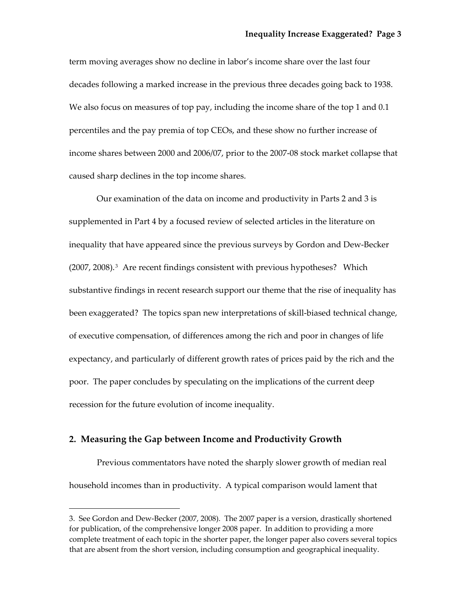term moving averages show no decline in labor's income share over the last four decades following a marked increase in the previous three decades going back to 1938. We also focus on measures of top pay, including the income share of the top 1 and 0.1 percentiles and the pay premia of top CEOs, and these show no further increase of income shares between 2000 and 2006/07, prior to the 2007‐08 stock market collapse that caused sharp declines in the top income shares.

Our examination of the data on income and productivity in Parts 2 and 3 is supplemented in Part 4 by a focused review of selected articles in the literature on inequality that have appeared since the previous surveys by Gordon and Dew‐Becker (2007, 2008).<sup>[3](#page-4-0)</sup> Are recent findings consistent with previous hypotheses? Which substantive findings in recent research support our theme that the rise of inequality has been exaggerated? The topics span new interpretations of skill-biased technical change, of executive compensation, of differences among the rich and poor in changes of life expectancy, and particularly of different growth rates of prices paid by the rich and the poor. The paper concludes by speculating on the implications of the current deep recession for the future evolution of income inequality.

### **2. Measuring the Gap between Income and Productivity Growth**

Previous commentators have noted the sharply slower growth of median real household incomes than in productivity. A typical comparison would lament that

<span id="page-4-0"></span><sup>3.</sup> See Gordon and Dew‐Becker (2007, 2008). The 2007 paper is a version, drastically shortened for publication, of the comprehensive longer 2008 paper. In addition to providing a more complete treatment of each topic in the shorter paper, the longer paper also covers several topics that are absent from the short version, including consumption and geographical inequality.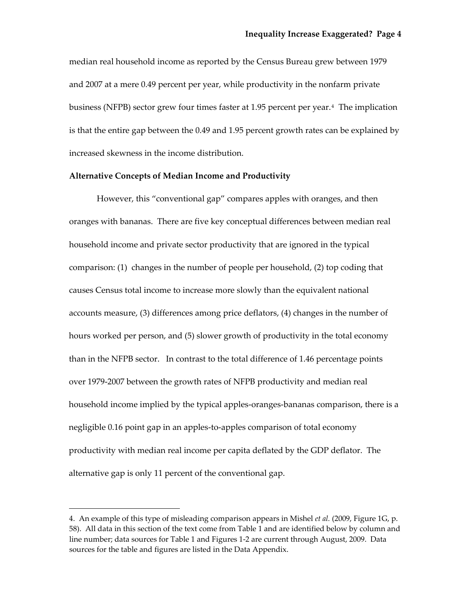median real household income as reported by the Census Bureau grew between 1979 and 2007 at a mere 0.49 percent per year, while productivity in the nonfarm private business (NFPB) sector grew four times faster at 1.95 percent per year.[4](#page-5-0) The implication is that the entire gap between the 0.49 and 1.95 percent growth rates can be explained by increased skewness in the income distribution.

## **Alternative Concepts of Median Income and Productivity**

However, this "conventional gap" compares apples with oranges, and then oranges with bananas. There are five key conceptual differences between median real household income and private sector productivity that are ignored in the typical comparison: (1) changes in the number of people per household, (2) top coding that causes Census total income to increase more slowly than the equivalent national accounts measure, (3) differences among price deflators, (4) changes in the number of hours worked per person, and (5) slower growth of productivity in the total economy than in the NFPB sector. In contrast to the total difference of 1.46 percentage points over 1979‐2007 between the growth rates of NFPB productivity and median real household income implied by the typical apples‐oranges‐bananas comparison, there is a negligible 0.16 point gap in an apples‐to‐apples comparison of total economy productivity with median real income per capita deflated by the GDP deflator. The alternative gap is only 11 percent of the conventional gap.

<span id="page-5-0"></span><sup>4.</sup> An example of this type of misleading comparison appears in Mishel *et al.* (2009, Figure 1G, p. 58). All data in this section of the text come from Table 1 and are identified below by column and line number; data sources for Table 1 and Figures 1‐2 are current through August, 2009. Data sources for the table and figures are listed in the Data Appendix.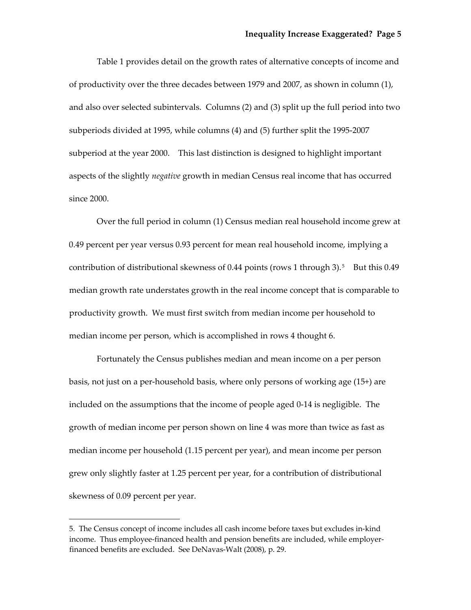Table 1 provides detail on the growth rates of alternative concepts of income and of productivity over the three decades between 1979 and 2007, as shown in column (1), and also over selected subintervals. Columns (2) and (3) split up the full period into two subperiods divided at 1995, while columns (4) and (5) further split the 1995‐2007 subperiod at the year 2000. This last distinction is designed to highlight important aspects of the slightly *negative* growth in median Census real income that has occurred since 2000.

Over the full period in column (1) Census median real household income grew at 0.49 percent per year versus 0.93 percent for mean real household income, implying a contribution of distributional skewness of 0.44 points (rows 1 through 3).<sup>[5](#page-6-0)</sup> But this 0.49 median growth rate understates growth in the real income concept that is comparable to productivity growth. We must first switch from median income per household to median income per person, which is accomplished in rows 4 thought 6.

Fortunately the Census publishes median and mean income on a per person basis, not just on a per‐household basis, where only persons of working age (15+) are included on the assumptions that the income of people aged 0‐14 is negligible. The growth of median income per person shown on line 4 was more than twice as fast as median income per household (1.15 percent per year), and mean income per person grew only slightly faster at 1.25 percent per year, for a contribution of distributional skewness of 0.09 percent per year.

<span id="page-6-0"></span><sup>5.</sup> The Census concept of income includes all cash income before taxes but excludes in‐kind income. Thus employee-financed health and pension benefits are included, while employerfinanced benefits are excluded. See DeNavas‐Walt (2008), p. 29.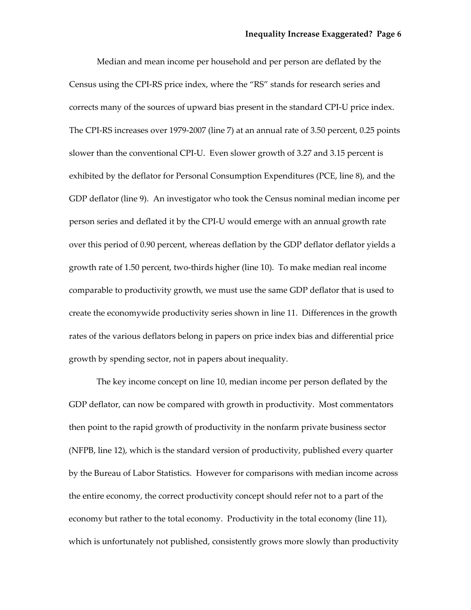Median and mean income per household and per person are deflated by the Census using the CPI‐RS price index, where the "RS" stands for research series and corrects many of the sources of upward bias present in the standard CPI‐U price index. The CPI‐RS increases over 1979‐2007 (line 7) at an annual rate of 3.50 percent, 0.25 points slower than the conventional CPI-U. Even slower growth of 3.27 and 3.15 percent is exhibited by the deflator for Personal Consumption Expenditures (PCE, line 8), and the GDP deflator (line 9). An investigator who took the Census nominal median income per person series and deflated it by the CPI‐U would emerge with an annual growth rate over this period of 0.90 percent, whereas deflation by the GDP deflator deflator yields a growth rate of 1.50 percent, two‐thirds higher (line 10). To make median real income comparable to productivity growth, we must use the same GDP deflator that is used to create the economywide productivity series shown in line 11. Differences in the growth rates of the various deflators belong in papers on price index bias and differential price growth by spending sector, not in papers about inequality.

The key income concept on line 10, median income per person deflated by the GDP deflator, can now be compared with growth in productivity. Most commentators then point to the rapid growth of productivity in the nonfarm private business sector (NFPB, line 12), which is the standard version of productivity, published every quarter by the Bureau of Labor Statistics. However for comparisons with median income across the entire economy, the correct productivity concept should refer not to a part of the economy but rather to the total economy. Productivity in the total economy (line 11), which is unfortunately not published, consistently grows more slowly than productivity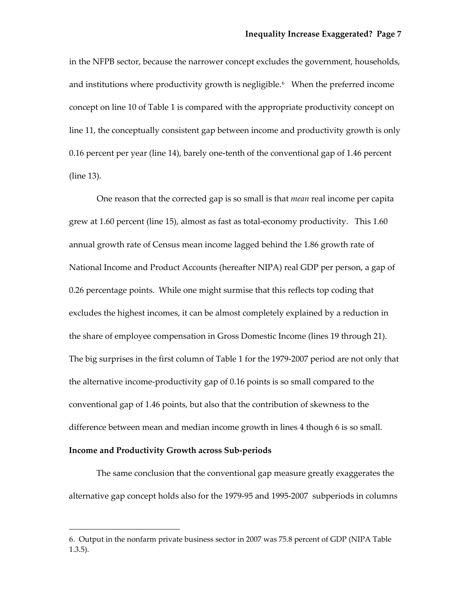in the NFPB sector, because the narrower concept excludes the government, households, and institutions where productivity growth is negligible.<sup>[6](#page-8-0)</sup> When the preferred income concept on line 10 of Table 1 is compared with the appropriate productivity concept on line 11, the conceptually consistent gap between income and productivity growth is only 0.16 percent per year (line 14), barely one‐tenth of the conventional gap of 1.46 percent (line 13).

One reason that the corrected gap is so small is that *mean* real income per capita grew at 1.60 percent (line 15), almost as fast as total-economy productivity. This 1.60 annual growth rate of Census mean income lagged behind the 1.86 growth rate of National Income and Product Accounts (hereafter NIPA) real GDP per person, a gap of 0.26 percentage points. While one might surmise that this reflects top coding that excludes the highest incomes, it can be almost completely explained by a reduction in the share of employee compensation in Gross Domestic Income (lines 19 through 21). The big surprises in the first column of Table 1 for the 1979-2007 period are not only that the alternative income‐productivity gap of 0.16 points is so small compared to the conventional gap of 1.46 points, but also that the contribution of skewness to the difference between mean and median income growth in lines 4 though 6 is so small.

## **Income and Productivity Growth across Sub‐periods**

The same conclusion that the conventional gap measure greatly exaggerates the alternative gap concept holds also for the 1979‐95 and 1995‐2007 subperiods in columns

<span id="page-8-0"></span><sup>6.</sup> Output in the nonfarm private business sector in 2007 was 75.8 percent of GDP (NIPA Table 1.3.5).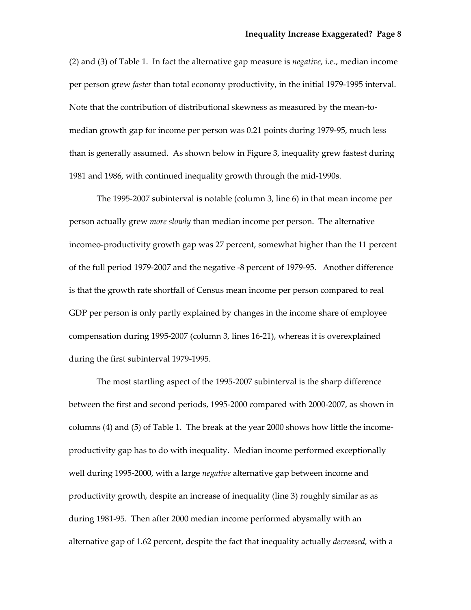(2) and (3) of Table 1. In fact the alternative gap measure is *negative,* i.e., median income per person grew *faster* than total economy productivity, in the initial 1979-1995 interval. Note that the contribution of distributional skewness as measured by the mean-tomedian growth gap for income per person was 0.21 points during 1979‐95, much less than is generally assumed. As shown below in Figure 3, inequality grew fastest during 1981 and 1986, with continued inequality growth through the mid‐1990s.

The 1995‐2007 subinterval is notable (column 3, line 6) in that mean income per person actually grew *more slowly* than median income per person. The alternative incomeo‐productivity growth gap was 27 percent, somewhat higher than the 11 percent of the full period 1979‐2007 and the negative ‐8 percent of 1979‐95. Another difference is that the growth rate shortfall of Census mean income per person compared to real GDP per person is only partly explained by changes in the income share of employee compensation during 1995‐2007 (column 3, lines 16‐21), whereas it is overexplained during the first subinterval 1979‐1995.

The most startling aspect of the 1995‐2007 subinterval is the sharp difference between the first and second periods, 1995‐2000 compared with 2000‐2007, as shown in columns (4) and (5) of Table 1. The break at the year 2000 shows how little the income‐ productivity gap has to do with inequality. Median income performed exceptionally well during 1995‐2000, with a large *negative* alternative gap between income and productivity growth, despite an increase of inequality (line 3) roughly similar as as during 1981‐95. Then after 2000 median income performed abysmally with an alternative gap of 1.62 percent, despite the fact that inequality actually *decreased,* with a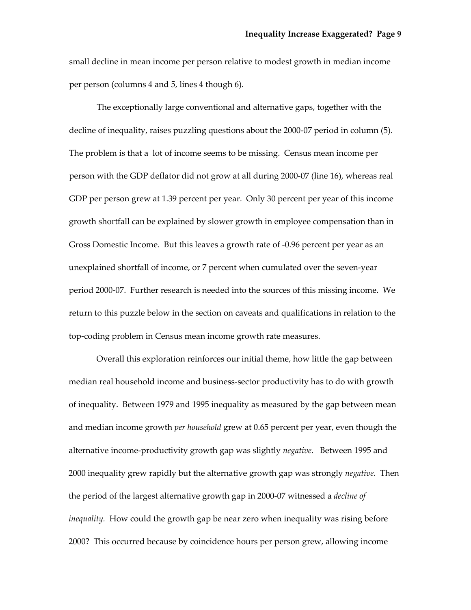small decline in mean income per person relative to modest growth in median income per person (columns 4 and 5, lines 4 though 6)*.*

The exceptionally large conventional and alternative gaps, together with the decline of inequality, raises puzzling questions about the 2000‐07 period in column (5). The problem is that a lot of income seems to be missing. Census mean income per person with the GDP deflator did not grow at all during 2000‐07 (line 16), whereas real GDP per person grew at 1.39 percent per year. Only 30 percent per year of this income growth shortfall can be explained by slower growth in employee compensation than in Gross Domestic Income. But this leaves a growth rate of ‐0.96 percent per year as an unexplained shortfall of income, or 7 percent when cumulated over the seven‐year period 2000‐07. Further research is needed into the sources of this missing income. We return to this puzzle below in the section on caveats and qualifications in relation to the top‐coding problem in Census mean income growth rate measures.

Overall this exploration reinforces our initial theme, how little the gap between median real household income and business‐sector productivity has to do with growth of inequality. Between 1979 and 1995 inequality as measured by the gap between mean and median income growth *per household* grew at 0.65 percent per year, even though the alternative income‐productivity growth gap was slightly *negative.*  Between 1995 and 2000 inequality grew rapidly but the alternative growth gap was strongly *negative*. Then the period of the largest alternative growth gap in 2000‐07 witnessed a *decline of inequality.* How could the growth gap be near zero when inequality was rising before 2000? This occurred because by coincidence hours per person grew, allowing income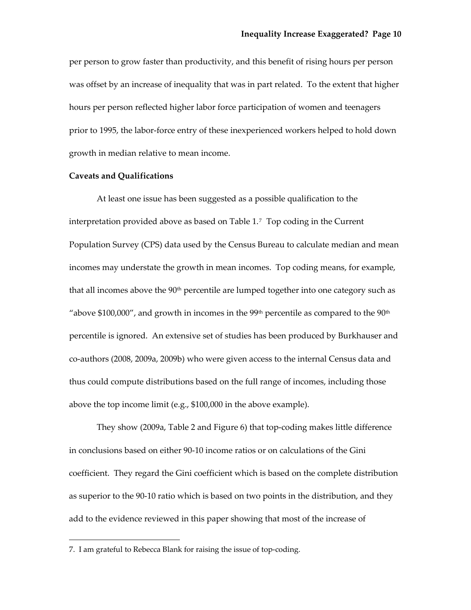per person to grow faster than productivity, and this benefit of rising hours per person was offset by an increase of inequality that was in part related. To the extent that higher hours per person reflected higher labor force participation of women and teenagers prior to 1995, the labor‐force entry of these inexperienced workers helped to hold down growth in median relative to mean income.

## **Caveats and Qualifications**

At least one issue has been suggested as a possible qualification to the interpretation provided above as based on Table 1.[7](#page-11-0) Top coding in the Current Population Survey (CPS) data used by the Census Bureau to calculate median and mean incomes may understate the growth in mean incomes. Top coding means, for example, that all incomes above the  $90<sup>th</sup>$  percentile are lumped together into one category such as "above  $$100,000$ ", and growth in incomes in the 99<sup>th</sup> percentile as compared to the 90<sup>th</sup> percentile is ignored. An extensive set of studies has been produced by Burkhauser and co-authors (2008, 2009a, 2009b) who were given access to the internal Census data and thus could compute distributions based on the full range of incomes, including those above the top income limit (e.g., \$100,000 in the above example).

They show (2009a, Table 2 and Figure 6) that top‐coding makes little difference in conclusions based on either 90‐10 income ratios or on calculations of the Gini coefficient. They regard the Gini coefficient which is based on the complete distribution as superior to the 90‐10 ratio which is based on two points in the distribution, and they add to the evidence reviewed in this paper showing that most of the increase of

<u> Andrew Maria (1989)</u>

<span id="page-11-0"></span><sup>7.</sup> I am grateful to Rebecca Blank for raising the issue of top‐coding.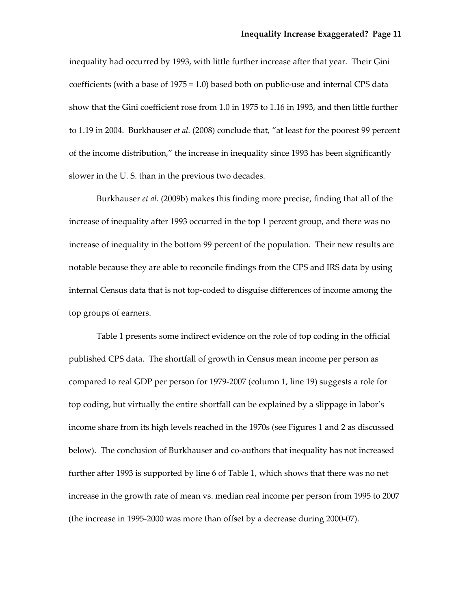inequality had occurred by 1993, with little further increase after that year. Their Gini coefficients (with a base of 1975 = 1.0) based both on public‐use and internal CPS data show that the Gini coefficient rose from 1.0 in 1975 to 1.16 in 1993, and then little further to 1.19 in 2004. Burkhauser *et al.* (2008) conclude that, "at least for the poorest 99 percent of the income distribution," the increase in inequality since 1993 has been significantly slower in the U. S. than in the previous two decades.

Burkhauser *et al.* (2009b) makes this finding more precise, finding that all of the increase of inequality after 1993 occurred in the top 1 percent group, and there was no increase of inequality in the bottom 99 percent of the population. Their new results are notable because they are able to reconcile findings from the CPS and IRS data by using internal Census data that is not top‐coded to disguise differences of income among the top groups of earners.

Table 1 presents some indirect evidence on the role of top coding in the official published CPS data. The shortfall of growth in Census mean income per person as compared to real GDP per person for 1979‐2007 (column 1, line 19) suggests a role for top coding, but virtually the entire shortfall can be explained by a slippage in labor's income share from its high levels reached in the 1970s (see Figures 1 and 2 as discussed below). The conclusion of Burkhauser and co-authors that inequality has not increased further after 1993 is supported by line 6 of Table 1, which shows that there was no net increase in the growth rate of mean vs. median real income per person from 1995 to 2007 (the increase in 1995‐2000 was more than offset by a decrease during 2000‐07).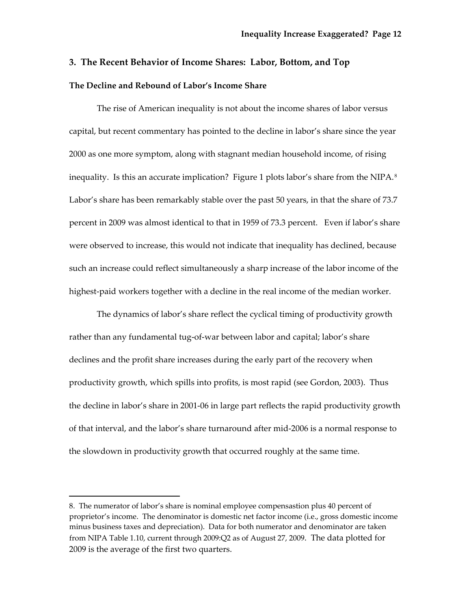## **3. The Recent Behavior of Income Shares: Labor, Bottom, and Top**

## **The Decline and Rebound of Labor's Income Share**

The rise of American inequality is not about the income shares of labor versus capital, but recent commentary has pointed to the decline in labor's share since the year 2000 as one more symptom, along with stagnant median household income, of rising inequality. Is this an accurate implication? Figure 1 plots labor's share from the NIPA.<sup>[8](#page-13-0)</sup> Labor's share has been remarkably stable over the past 50 years, in that the share of 73.7 percent in 2009 was almost identical to that in 1959 of 73.3 percent. Even if labor's share were observed to increase, this would not indicate that inequality has declined, because such an increase could reflect simultaneously a sharp increase of the labor income of the highest-paid workers together with a decline in the real income of the median worker.

The dynamics of labor's share reflect the cyclical timing of productivity growth rather than any fundamental tug‐of‐war between labor and capital; labor's share declines and the profit share increases during the early part of the recovery when productivity growth, which spills into profits, is most rapid (see Gordon, 2003). Thus the decline in labor's share in 2001‐06 in large part reflects the rapid productivity growth of that interval, and the labor's share turnaround after mid‐2006 is a normal response to the slowdown in productivity growth that occurred roughly at the same time.

<u> Andrew Maria (1989)</u>

<span id="page-13-0"></span><sup>8.</sup> The numerator of labor's share is nominal employee compensastion plus 40 percent of proprietor's income. The denominator is domestic net factor income (i.e., gross domestic income minus business taxes and depreciation). Data for both numerator and denominator are taken from NIPA Table 1.10, current through 2009:Q2 as of August 27, 2009. The data plotted for 2009 is the average of the first two quarters.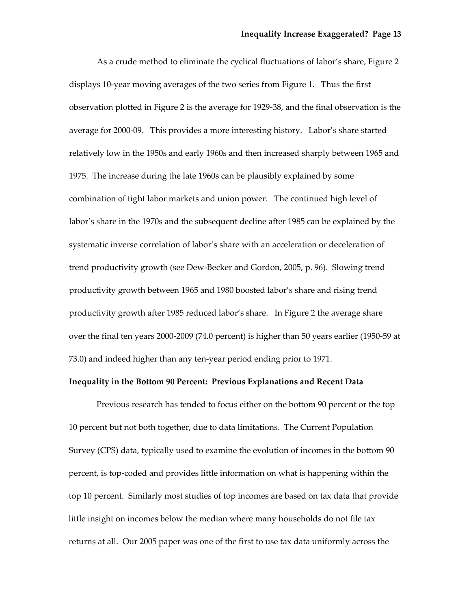As a crude method to eliminate the cyclical fluctuations of labor's share, Figure 2 displays 10‐year moving averages of the two series from Figure 1. Thus the first observation plotted in Figure 2 is the average for 1929‐38, and the final observation is the average for 2000‐09. This provides a more interesting history. Labor's share started relatively low in the 1950s and early 1960s and then increased sharply between 1965 and 1975. The increase during the late 1960s can be plausibly explained by some combination of tight labor markets and union power. The continued high level of labor's share in the 1970s and the subsequent decline after 1985 can be explained by the systematic inverse correlation of labor's share with an acceleration or deceleration of trend productivity growth (see Dew‐Becker and Gordon, 2005, p. 96). Slowing trend productivity growth between 1965 and 1980 boosted labor's share and rising trend productivity growth after 1985 reduced labor's share. In Figure 2 the average share over the final ten years 2000‐2009 (74.0 percent) is higher than 50 years earlier (1950‐59 at 73.0) and indeed higher than any ten‐year period ending prior to 1971.

### **Inequality in the Bottom 90 Percent: Previous Explanations and Recent Data**

Previous research has tended to focus either on the bottom 90 percent or the top 10 percent but not both together, due to data limitations. The Current Population Survey (CPS) data, typically used to examine the evolution of incomes in the bottom 90 percent, is top‐coded and provides little information on what is happening within the top 10 percent. Similarly most studies of top incomes are based on tax data that provide little insight on incomes below the median where many households do not file tax returns at all. Our 2005 paper was one of the first to use tax data uniformly across the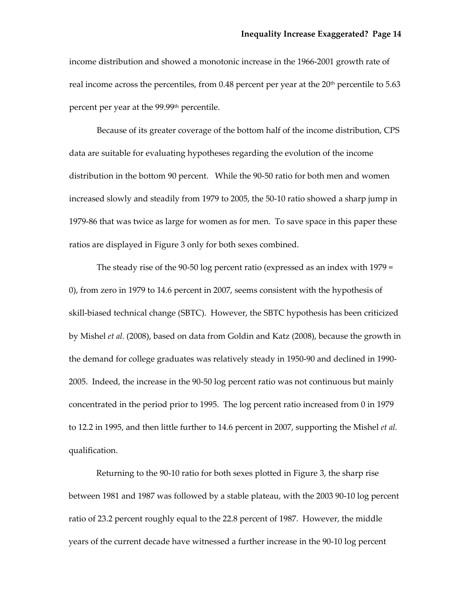income distribution and showed a monotonic increase in the 1966‐2001 growth rate of real income across the percentiles, from  $0.48$  percent per year at the  $20<sup>th</sup>$  percentile to 5.63 percent per year at the 99.99th percentile.

Because of its greater coverage of the bottom half of the income distribution, CPS data are suitable for evaluating hypotheses regarding the evolution of the income distribution in the bottom 90 percent. While the 90‐50 ratio for both men and women increased slowly and steadily from 1979 to 2005, the 50‐10 ratio showed a sharp jump in 1979‐86 that was twice as large for women as for men. To save space in this paper these ratios are displayed in Figure 3 only for both sexes combined.

The steady rise of the 90-50 log percent ratio (expressed as an index with 1979 = 0), from zero in 1979 to 14.6 percent in 2007, seems consistent with the hypothesis of skill-biased technical change (SBTC). However, the SBTC hypothesis has been criticized by Mishel *et al.* (2008), based on data from Goldin and Katz (2008), because the growth in the demand for college graduates was relatively steady in 1950‐90 and declined in 1990‐ 2005. Indeed, the increase in the 90‐50 log percent ratio was not continuous but mainly concentrated in the period prior to 1995. The log percent ratio increased from 0 in 1979 to 12.2 in 1995, and then little further to 14.6 percent in 2007, supporting the Mishel *et al.* qualification.

Returning to the 90-10 ratio for both sexes plotted in Figure 3, the sharp rise between 1981 and 1987 was followed by a stable plateau, with the 2003 90-10 log percent ratio of 23.2 percent roughly equal to the 22.8 percent of 1987. However, the middle years of the current decade have witnessed a further increase in the 90‐10 log percent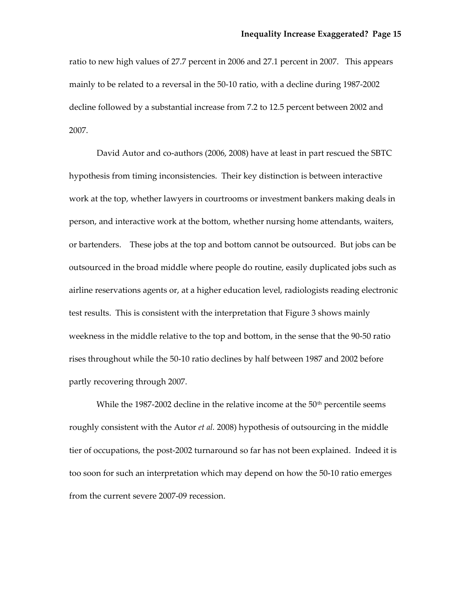ratio to new high values of 27.7 percent in 2006 and 27.1 percent in 2007. This appears mainly to be related to a reversal in the 50‐10 ratio, with a decline during 1987‐2002 decline followed by a substantial increase from 7.2 to 12.5 percent between 2002 and 2007.

David Autor and co-authors (2006, 2008) have at least in part rescued the SBTC hypothesis from timing inconsistencies. Their key distinction is between interactive work at the top, whether lawyers in courtrooms or investment bankers making deals in person, and interactive work at the bottom, whether nursing home attendants, waiters, or bartenders. These jobs at the top and bottom cannot be outsourced. But jobs can be outsourced in the broad middle where people do routine, easily duplicated jobs such as airline reservations agents or, at a higher education level, radiologists reading electronic test results. This is consistent with the interpretation that Figure 3 shows mainly weekness in the middle relative to the top and bottom, in the sense that the 90‐50 ratio rises throughout while the 50‐10 ratio declines by half between 1987 and 2002 before partly recovering through 2007.

While the 1987-2002 decline in the relative income at the  $50<sup>th</sup>$  percentile seems roughly consistent with the Autor *et al.* 2008) hypothesis of outsourcing in the middle tier of occupations, the post-2002 turnaround so far has not been explained. Indeed it is too soon for such an interpretation which may depend on how the 50‐10 ratio emerges from the current severe 2007‐09 recession.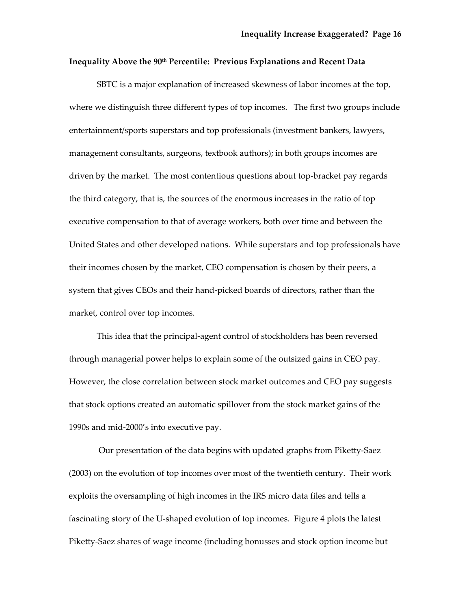## **Inequality Above the 90th Percentile: Previous Explanations and Recent Data**

SBTC is a major explanation of increased skewness of labor incomes at the top, where we distinguish three different types of top incomes. The first two groups include entertainment/sports superstars and top professionals (investment bankers, lawyers, management consultants, surgeons, textbook authors); in both groups incomes are driven by the market. The most contentious questions about top‐bracket pay regards the third category, that is, the sources of the enormous increases in the ratio of top executive compensation to that of average workers, both over time and between the United States and other developed nations. While superstars and top professionals have their incomes chosen by the market, CEO compensation is chosen by their peers, a system that gives CEOs and their hand‐picked boards of directors, rather than the market, control over top incomes.

This idea that the principal‐agent control of stockholders has been reversed through managerial power helps to explain some of the outsized gains in CEO pay. However, the close correlation between stock market outcomes and CEO pay suggests that stock options created an automatic spillover from the stock market gains of the 1990s and mid‐2000's into executive pay.

 Our presentation of the data begins with updated graphs from Piketty‐Saez (2003) on the evolution of top incomes over most of the twentieth century. Their work exploits the oversampling of high incomes in the IRS micro data files and tells a fascinating story of the U‐shaped evolution of top incomes. Figure 4 plots the latest Piketty‐Saez shares of wage income (including bonusses and stock option income but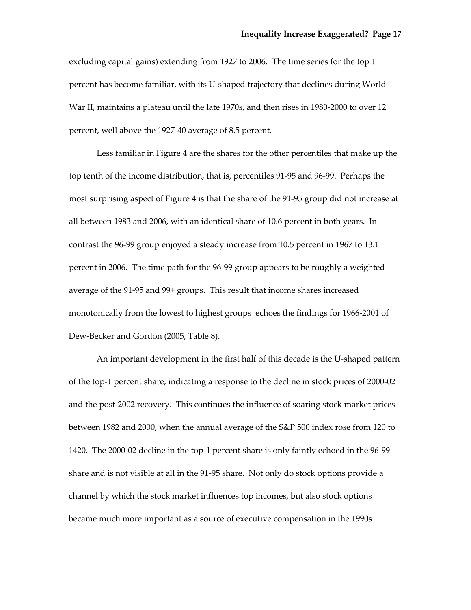excluding capital gains) extending from 1927 to 2006. The time series for the top 1 percent has become familiar, with its U‐shaped trajectory that declines during World War II, maintains a plateau until the late 1970s, and then rises in 1980‐2000 to over 12 percent, well above the 1927‐40 average of 8.5 percent.

Less familiar in Figure 4 are the shares for the other percentiles that make up the top tenth of the income distribution, that is, percentiles 91‐95 and 96‐99. Perhaps the most surprising aspect of Figure 4 is that the share of the 91‐95 group did not increase at all between 1983 and 2006, with an identical share of 10.6 percent in both years. In contrast the 96‐99 group enjoyed a steady increase from 10.5 percent in 1967 to 13.1 percent in 2006. The time path for the 96‐99 group appears to be roughly a weighted average of the 91‐95 and 99+ groups. This result that income shares increased monotonically from the lowest to highest groups echoes the findings for 1966‐2001 of Dew‐Becker and Gordon (2005, Table 8).

An important development in the first half of this decade is the U‐shaped pattern of the top‐1 percent share, indicating a response to the decline in stock prices of 2000‐02 and the post‐2002 recovery. This continues the influence of soaring stock market prices between 1982 and 2000, when the annual average of the S&P 500 index rose from 120 to 1420. The 2000-02 decline in the top-1 percent share is only faintly echoed in the 96-99 share and is not visible at all in the 91‐95 share. Not only do stock options provide a channel by which the stock market influences top incomes, but also stock options became much more important as a source of executive compensation in the 1990s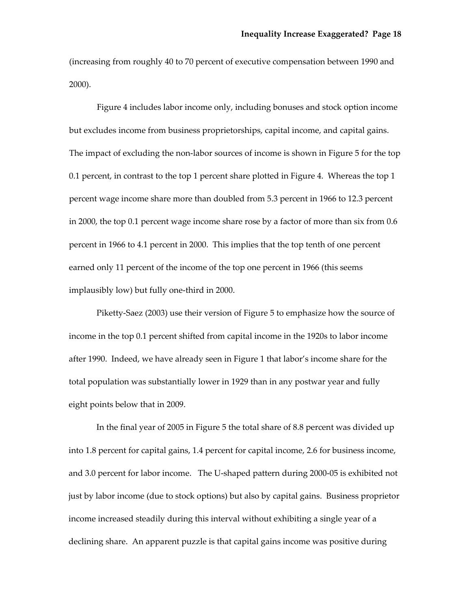(increasing from roughly 40 to 70 percent of executive compensation between 1990 and 2000).

Figure 4 includes labor income only, including bonuses and stock option income but excludes income from business proprietorships, capital income, and capital gains. The impact of excluding the non-labor sources of income is shown in Figure 5 for the top 0.1 percent, in contrast to the top 1 percent share plotted in Figure 4. Whereas the top 1 percent wage income share more than doubled from 5.3 percent in 1966 to 12.3 percent in 2000, the top 0.1 percent wage income share rose by a factor of more than six from 0.6 percent in 1966 to 4.1 percent in 2000. This implies that the top tenth of one percent earned only 11 percent of the income of the top one percent in 1966 (this seems implausibly low) but fully one-third in 2000.

Piketty-Saez (2003) use their version of Figure 5 to emphasize how the source of income in the top 0.1 percent shifted from capital income in the 1920s to labor income after 1990. Indeed, we have already seen in Figure 1 that labor's income share for the total population was substantially lower in 1929 than in any postwar year and fully eight points below that in 2009.

In the final year of 2005 in Figure 5 the total share of 8.8 percent was divided up into 1.8 percent for capital gains, 1.4 percent for capital income, 2.6 for business income, and 3.0 percent for labor income. The U‐shaped pattern during 2000‐05 is exhibited not just by labor income (due to stock options) but also by capital gains. Business proprietor income increased steadily during this interval without exhibiting a single year of a declining share. An apparent puzzle is that capital gains income was positive during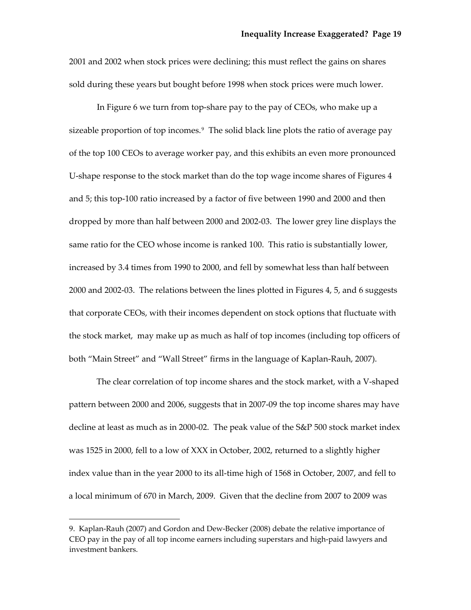2001 and 2002 when stock prices were declining; this must reflect the gains on shares sold during these years but bought before 1998 when stock prices were much lower.

In Figure 6 we turn from top‐share pay to the pay of CEOs, who make up a sizeable proportion of top incomes.<sup>[9](#page-20-0)</sup> The solid black line plots the ratio of average pay of the top 100 CEOs to average worker pay, and this exhibits an even more pronounced U-shape response to the stock market than do the top wage income shares of Figures 4 and 5; this top‐100 ratio increased by a factor of five between 1990 and 2000 and th en dropped by more than half between 2000 and 2002‐03. The lower grey line displays the same ratio for the CEO whose income is ranked 100. This ratio is substantially lower, increased by 3.4 times from 1990 to 2000, and fell by somewhat less than half between 2000 and 2002‐03. The relations between the lines plotted in Figures 4, 5, and 6 suggests that corporate CEOs, with their incomes dependent on stock options that fluctuate with the stock market, may make up as much as half of top incomes (including top officers of both "Main Street" and "Wall Street" firms in the language of Kaplan‐Rauh, 2007).

The clear correlation of top income shares and the stock market, with a V-shaped pattern between 2000 and 2006, suggests that in 2007‐09 the top income shares may have decline at least as much as in 2000‐02. The peak value of the S&P 500 stock market index was 1525 in 2000, fell to a low of XXX in October, 2002, returned to a slightly higher index value than in the year 2000 to its all‐time high of 1568 in October, 2007, and fell to a local minimum of 670 in March, 2009. Given that the decline from 2007 to 2009 was

<span id="page-20-0"></span><sup>9.</sup> Kaplan‐Rauh (2007) and Gordon and Dew‐Becker (2008) debate the relative importance of CEO pay in the pay of all top income earners including superstars and high‐paid lawyers and investment bankers.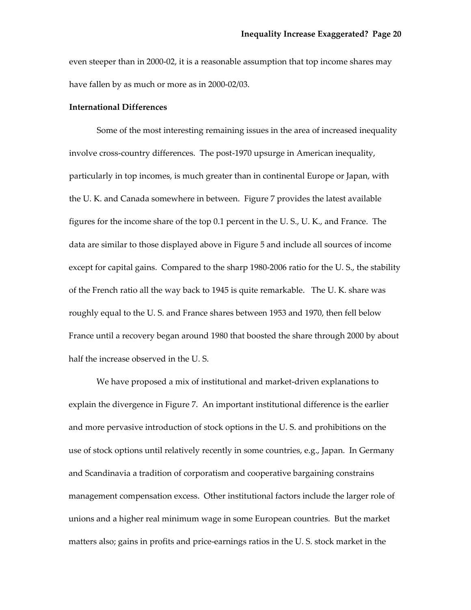even steeper than in 2000‐02, it is a reasonable assumption that top income shares may have fallen by as much or more as in 2000‐02/03.

## **International Differences**

Some of the most interesting remaining issues in the area of increased inequality involve cross‐country differences. The post‐1970 upsurge in American inequality, particularly in top incomes, is much greater than in continental Europe or Japan, with the U. K. and Canada somewhere in between. Figure 7 provides the latest available figures for the income share of the top 0.1 percent in the U. S., U. K., and France. The data are similar to those displayed above in Figure 5 and include all sources of income except for capital gains. Compared to the sharp 1980-2006 ratio for the U.S., the stability of the French ratio all the way back to 1945 is quite remarkable. The U. K. share was roughly equal to the U. S. and France shares between 1953 and 1970, then fell below France until a recovery began around 1980 that boosted the share through 2000 by about half the increase observed in the U. S.

We have proposed a mix of institutional and market-driven explanations to explain the divergence in Figure 7. An important institutional difference is the earlier and more pervasive introduction of stock options in the U. S. and prohibitions on the use of stock options until relatively recently in some countries, e.g., Japan. In Germany and Scandinavia a tradition of corporatism and cooperative bargaining constrains management compensation excess. Other institutional factors include the larger role of unions and a higher real minimum wage in some European countries. But the market matters also; gains in profits and price‐earnings ratios in the U. S. stock market in the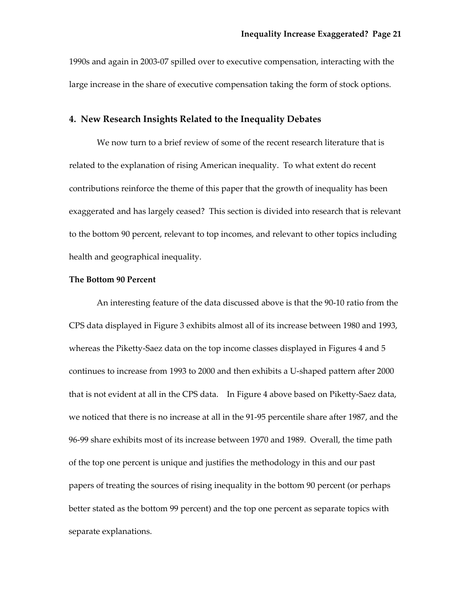1990s and again in 2003‐07 spilled over to executive compensation, interacting with the large increase in the share of executive compensation taking the form of stock options.

## **4. New Research Insights Related to the Inequality Debates**

We now turn to a brief review of some of the recent research literature that is related to the explanation of rising American inequality. To what extent do recent contributions reinforce the theme of this paper that the growth of inequality has been exaggerated and has largely ceased? This section is divided into research that is relevant to the bottom 90 percent, relevant to top incomes, and relevant to other topics including health and geographical inequality.

## **The Bottom 90 Percent**

An interesting feature of the data discussed above is that the 90‐10 ratio from the CPS data displayed in Figure 3 exhibits almost all of its increase between 1980 and 1993, whereas the Piketty-Saez data on the top income classes displayed in Figures 4 and 5 continues to increase from 1993 to 2000 and then exhibits a U‐shaped pattern after 2000 that is not evident at all in the CPS data. In Figure 4 above based on Piketty‐Saez data, we noticed that there is no increase at all in the 91‐95 percentile share after 1987, and the 96‐99 share exhibits most of its increase between 1970 and 1989. Overall, the time path of the top one percent is unique and justifies the methodology in this and our past papers of treating the sources of rising inequality in the bottom 90 percent (or perhaps better stated as the bottom 99 percent) and the top one percent as separate topics with separate explanations.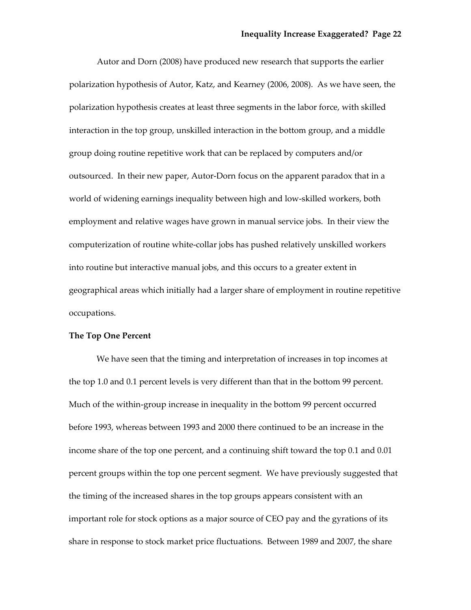Autor and Dorn (2008) have produced new research that supports the earlier polarization hypothesis of Autor, Katz, and Kearney (2006, 2008). As we have seen, the polarization hypothesis creates at least three segments in the labor force, with skilled interaction in the top group, unskilled interaction in the bottom group, and a middle group doing routine repetitive work that can be replaced by computers and/or outsourced. In their new paper, Autor‐Dorn focus on the apparent paradox that in a world of widening earnings inequality between high and low‐skilled workers, both employment and relative wages have grown in manual service jobs. In their view the computerization of routine white‐collar jobs has pushed relatively unskilled workers into routine but interactive manual jobs, and this occurs to a greater extent in geographical areas which initially had a larger share of employment in routine repetitive occupations.

### **The Top One Percent**

We have seen that the timing and interpretation of increases in top incomes at the top 1.0 and 0.1 percent levels is very different than that in the bottom 99 percent. Much of the within‐group increase in inequality in the bottom 99 percent occurred before 1993, whereas between 1993 and 2000 there continued to be an increase in the income share of the top one percent, and a continuing shift toward the top 0.1 and 0.01 percent groups within the top one percent segment. We have previously suggested that the timing of the increased shares in the top groups appears consistent with an important role for stock options as a major source of CEO pay and the gyrations of its share in response to stock market price fluctuations. Between 1989 and 2007, the share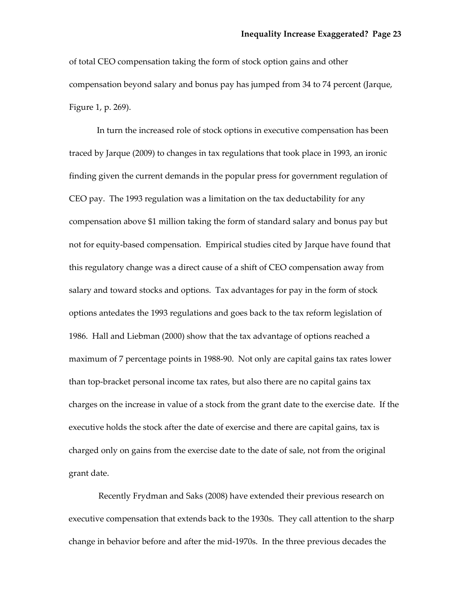of total CEO compensation taking the form of stock option gains and other compensation beyond salary and bonus pay has jumped from 34 to 74 percent (Jarque, Figure 1, p. 269).

In turn the increased role of stock options in executive compensation has been traced by Jarque (2009) to changes in tax regulations that took place in 1993, an ironic finding given the current demands in the popular press for government regulation of CEO pay. The 1993 regulation was a limitation on the tax deductability for any compensation above \$1 million taking the form of standard salary and bonus pay but not for equity‐based compensation. Empirical studies cited by Jarque have found that this regulatory change was a direct cause of a shift of CEO compensation away from salary and toward stocks and options. Tax advantages for pay in the form of stock options antedates the 1993 regulations and goes back to the tax reform legislation of 1986. Hall and Liebman (2000) show that the tax advantage of options reached a maximum of 7 percentage points in 1988‐90. Not only are capital gains tax rates lower than top‐bracket personal income tax rates, but also there are no capital gains tax charges on the increase in value of a stock from the grant date to the exercise date. If the executive holds the stock after the date of exercise and there are capital gains, tax is charged only on gains from the exercise date to the date of sale, not from the original grant date.

 Recently Frydman and Saks (2008) have extended their previous research on executive compensation that extends back to the 1930s. They call attention to the sharp change in behavior before and after the mid‐1970s. In the three previous decades the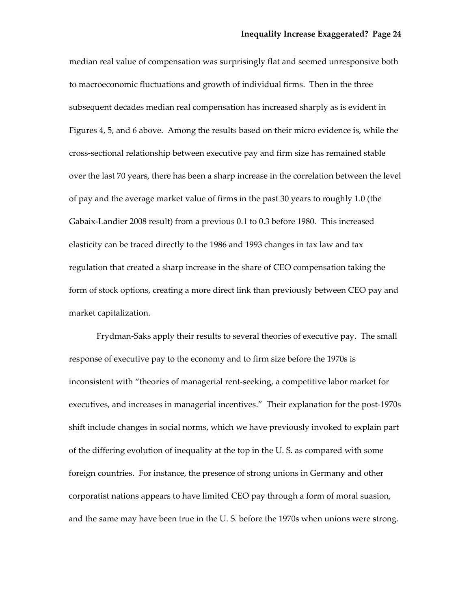median real value of compensation was surprisingly flat and seemed unresponsive both to macroeconomic fluctuations and growth of individual firms. Then in the three subsequent decades median real compensation has increased sharply as is evident in Figures 4, 5, and 6 above. Among the results based on their micro evidence is, while the cross‐sectional relationship between executive pay and firm size has remained stable over the last 70 years, there has been a sharp increase in the correlation between the level of pay and the average market value of firms in the past 30 years to roughly 1.0 (the Gabaix‐Landier 2008 result) from a previous 0.1 to 0.3 before 1980. This increased elasticity can be traced directly to the 1986 and 1993 changes in tax law and tax regulation that created a sharp increase in the share of CEO compensation taking the form of stock options, creating a more direct link than previously between CEO pay and market capitalization.

Frydman‐Saks apply their results to several theories of executive pay. The small response of executive pay to the economy and to firm size before the 1970s is inconsistent with "theories of managerial rent‐seeking, a competitive labor market for executives, and increases in managerial incentives." Their explanation for the post‐1970s shift include changes in social norms, which we have previously invoked to explain part of the differing evolution of inequality at the top in the U. S. as compared with some foreign countries. For instance, the presence of strong unions in Germany and other corporatist nations appears to have limited CEO pay through a form of moral suasion, and the same may have been true in the U. S. before the 1970s when unions were strong.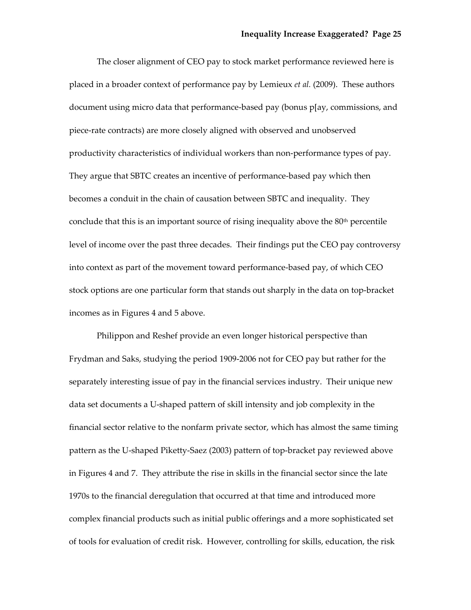The closer alignment of CEO pay to stock market performance reviewed here is placed in a broader context of performance pay by Lemieux *et al.* (2009). These authors document using micro data that performance‐based pay (bonus p[ay, commissions, and piece‐rate contracts) are more closely aligned with observed and unobserved productivity characteristics of individual workers than non‐performance types of pay. They argue that SBTC creates an incentive of performance‐based pay which then becomes a conduit in the chain of causation between SBTC and inequality. They conclude that this is an important source of rising inequality above the  $80<sup>th</sup>$  percentile level of income over the past three decades. Their findings put the CEO pay controversy into context as part of the movement toward performance‐based pay, of which CEO stock options are one particular form that stands out sharply in the data on top-bracket incomes as in Figures 4 and 5 above.

Philippon and Reshef provide an even longer historical perspective than Frydman and Saks, studying the period 1909‐2006 not for CEO pay but rather for the separately interesting issue of pay in the financial services industry. Their unique new data set documents a U‐shaped pattern of skill intensity and job complexity in the financial sector relative to the nonfarm private sector, which has almost the same timing pattern as the U‐shaped Piketty‐Saez (2003) pattern of top‐bracket pay reviewed above in Figures 4 and 7. They attribute the rise in skills in the financial sector since the late 1970s to the financial deregulation that occurred at that time and introduced more complex financial products such as initial public offerings and a more sophisticated set of tools for evaluation of credit risk. However, controlling for skills, education, the risk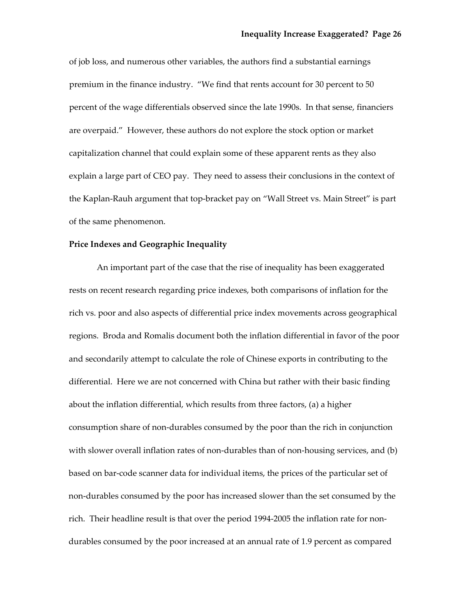of job loss, and numerous other variables, the authors find a substantial earnings premium in the finance industry. "We find that rents account for 30 percent to 50 percent of the wage differentials observed since the late 1990s. In that sense, financiers are overpaid." However, these authors do not explore the stock option or market capitalization channel that could explain some of these apparent rents as they also explain a large part of CEO pay. They need to assess their conclusions in the context of the Kaplan‐Rauh argument that top‐bracket pay on "Wall Street vs. Main Street" is part of the same phenomenon.

#### **Price Indexes and Geographic Inequality**

An important part of the case that the rise of inequality has been exaggerated rests on recent research regarding price indexes, both comparisons of inflation for the rich vs. poor and also aspects of differential price index movements across geographical regions. Broda and Romalis document both the inflation differential in favor of the poor and secondarily attempt to calculate the role of Chinese exports in contributing to the differential. Here we are not concerned with China but rather with their basic finding about the inflation differential, which results from three factors, (a) a higher consumption share of non‐durables consumed by the poor than the rich in conjunction with slower overall inflation rates of non-durables than of non-housing services, and (b) based on bar-code scanner data for individual items, the prices of the particular set of non‐durables consumed by the poor has increased slower than the set consumed by the rich. Their headline result is that over the period 1994‐2005 the inflation rate for non‐ durables consumed by the poor increased at an annual rate of 1.9 percent as compared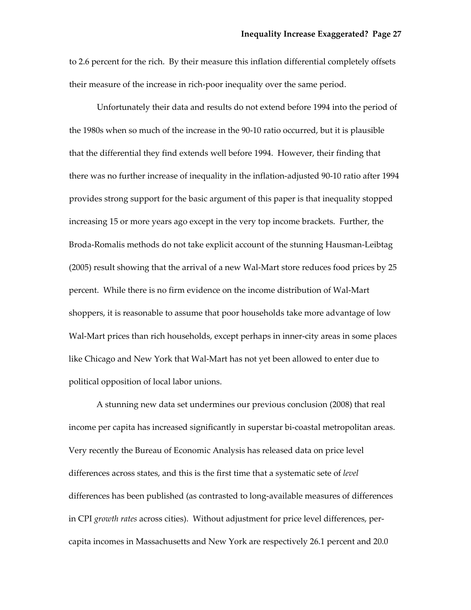to 2.6 percent for the rich. By their measure this inflation differential completely offsets their measure of the increase in rich‐poor inequality over the same period.

Unfortunately their data and results do not extend before 1994 into the period of the 1980s when so much of the increase in the 90‐10 ratio occurred, but it is plausible that the differential they find extends well before 1994. However, their finding that there was no further increase of inequality in the inflation‐adjusted 90‐10 ratio after 1994 provides strong support for the basic argument of this paper is that inequality stopped increasing 15 or more years ago except in the very top income brackets. Further, the Broda‐Romalis methods do not take explicit account of the stunning Hausman‐Leibtag (2005) result showing that the arrival of a new Wal-Mart store reduces food prices by 25 percent. While there is no firm evidence on the income distribution of Wal‐Mart shoppers, it is reasonable to assume that poor households take more advantage of low Wal-Mart prices than rich households, except perhaps in inner-city areas in some places like Chicago and New York that Wal‐Mart has not yet been allowed to enter due to political opposition of local labor unions.

A stunning new data set undermines our previous conclusion (2008) that real income per capita has increased significantly in superstar bi‐coastal metropolitan areas. Very recently the Bureau of Economic Analysis has released data on price level differences across states, and this is the first time that a systematic sete of *level* differences has been published (as contrasted to long‐available measures of differences in CPI *growth rates* across cities). Without adjustment for price level differences, per‐ capita incomes in Massachusetts and New York are respectively 26.1 percent and 20.0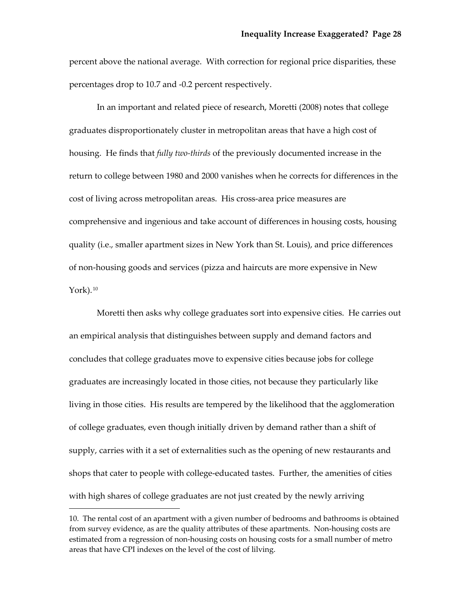percent above the national average. With correction for regional price disparities, these percentages drop to 10.7 and ‐0.2 percent respectively.

In an important and related piece of research, Moretti (2008) notes that college graduates disproportionately cluster in metropolitan areas that have a high cost of housing. He finds that *fully two‐thirds* of the previously documented increase in the return to college between 1980 and 2000 vanishes when he corrects for differences in the cost of living across metropolitan areas. His cross‐area price measures are comprehensive and ingenious and take account of differences in housing costs, housing quality (i.e., smaller apartment sizes in New York than St. Louis), and price differences of non‐housing goods and services (pizza and haircuts are more expensive in New York). $10$ 

Moretti then asks why college graduates sort into expensive cities. He carries out an empirical analysis that distinguishes between supply and demand factors and concludes that college graduates move to expensive cities because jobs for college graduates are increasingly located in those cities, not because they particularly like living in those cities. His results are tempered by the likelihood that the agglomeration of college graduates, even though initially driven by demand rather than a shift of supply, carries with it a set of externalities such as the opening of new restaurants and shops that cater to people with college-educated tastes. Further, the amenities of cities with high shares of college graduates are not just created by the newly arriving

<u> Andrew Maria (1989)</u>

<span id="page-29-0"></span><sup>10.</sup> The rental cost of an apartment with a given number of bedrooms and bathrooms is obtained from survey evidence, as are the quality attributes of these apartments. Non-housing costs are estimated from a regression of non-housing costs on housing costs for a small number of metro areas that have CPI indexes on the level of the cost of lilving.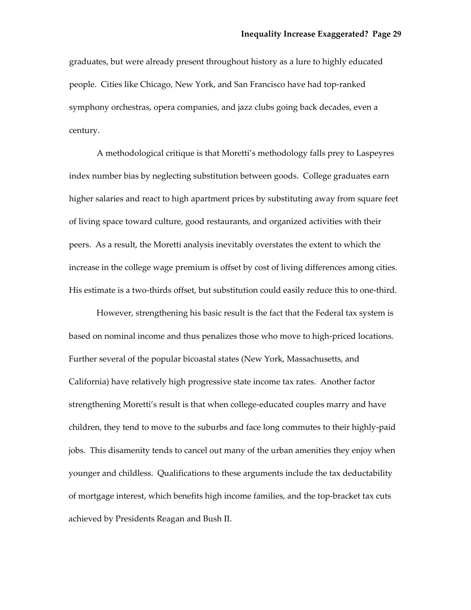graduates, but were already present throughout history as a lure to highly educated people. Cities like Chicago, New York, and San Francisco have had top-ranked symphony orchestras, opera companies, and jazz clubs going back decades, even a century.

A methodological critique is that Moretti's methodology falls prey to Laspeyres index number bias by neglecting substitution between goods. College graduates earn higher salaries and react to high apartment prices by substituting away from square feet of living space toward culture, good restaurants, and organized activities with their peers. As a result, the Moretti analysis inevitably overstates the extent to which the increase in the college wage premium is offset by cost of living differences among cities. His estimate is a two-thirds offset, but substitution could easily reduce this to one-third.

However, strengthening his basic result is the fact that the Federal tax system is based on nominal income and thus penalizes those who move to high‐priced locations. Further several of the popular bicoastal states (New York, Massachusetts, and California) have relatively high progressive state income tax rates. Another factor strengthening Moretti's result is that when college‐educated couples marry and have children, they tend to move to the suburbs and face long commutes to their highly‐paid jobs. This disamenity tends to cancel out many of the urban amenities they enjoy when younger and childless. Qualifications to these arguments include the tax deductability of mortgage interest, which benefits high income families, and the top‐bracket tax cuts achieved by Presidents Reagan and Bush II.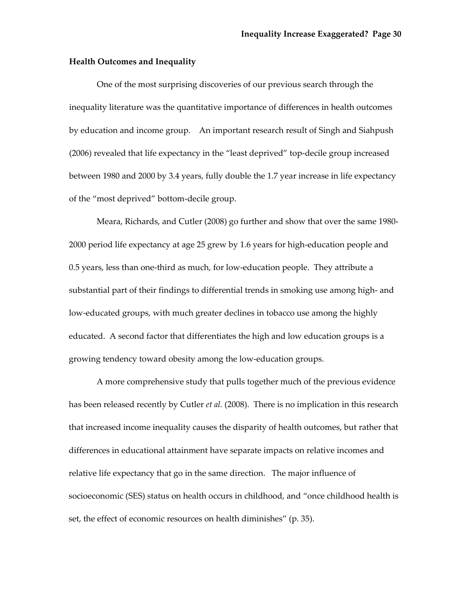### **Health Outcomes and Inequality**

One of the most surprising discoveries of our previous search through the inequality literature was the quantitative importance of differences in health outcomes by education and income group. An important research result of Singh and Siahpush (2006) revealed that life expectancy in the "least deprived" top‐decile group increased between 1980 and 2000 by 3.4 years, fully double the 1.7 year increase in life expectancy of the "most deprived" bottom‐decile group.

Meara, Richards, and Cutler (2008) go further and show that over the same 1980‐ 2000 period life expectancy at age 25 grew by 1.6 years for high‐education people and 0.5 years, less than one‐third as much, for low‐education people. They attribute a substantial part of their findings to differential trends in smoking use among high‐ and low-educated groups, with much greater declines in tobacco use among the highly educated. A second factor that differentiates the high and low education groups is a growing tendency toward obesity among the low‐education groups.

A more comprehensive study that pulls together much of the previous evidence has been released recently by Cutler *et al.* (2008). There is no implication in this research that increased income inequality causes the disparity of health outcomes, but rather that differences in educational attainment have separate impacts on relative incomes and relative life expectancy that go in the same direction. The major influence of socioeconomic (SES) status on health occurs in childhood, and "once childhood health is set, the effect of economic resources on health diminishes" (p. 35).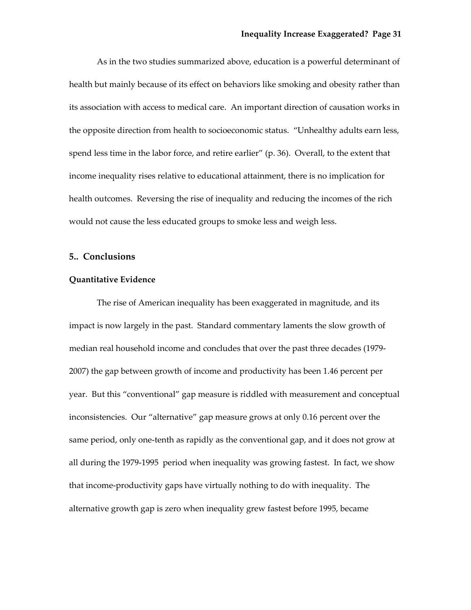As in the two studies summarized above, education is a powerful determinant of health but mainly because of its effect on behaviors like smoking and obesity rather than its association with access to medical care. An important direction of causation works in the opposite direction from health to socioeconomic status. "Unhealthy adults earn less, spend less time in the labor force, and retire earlier" (p. 36). Overall, to the extent that income inequality rises relative to educational attainment, there is no implication for health outcomes. Reversing the rise of inequality and reducing the incomes of the rich would not cause the less educated groups to smoke less and weigh less.

## **5.. Conclusions**

## **Quantitative Evidence**

The rise of American inequality has been exaggerated in magnitude, and its impact is now largely in the past. Standard commentary laments the slow growth of median real household income and concludes that over the past three decades (1979‐ 2007) the gap between growth of income and productivity has been 1.46 percent per year. But this "conventional" gap measure is riddled with measurement and conceptual inconsistencies. Our "alternative" gap measure grows at only 0.16 percent over the same period, only one-tenth as rapidly as the conventional gap, and it does not grow at all during the 1979‐1995 period when inequality was growing fastest. In fact, we show that income‐productivity gaps have virtually nothing to do with inequality. The alternative growth gap is zero when inequality grew fastest before 1995, became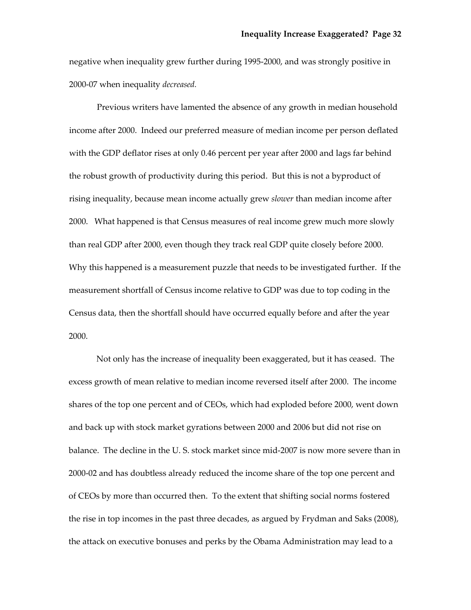negative when inequality grew further during 1995‐2000, and was strongly positive in 2000‐07 when inequality *decreased.* 

Previous writers have lamented the absence of any growth in median household income after 2000. Indeed our preferred measure of median income per person deflated with the GDP deflator rises at only 0.46 percent per year after 2000 and lags far behind the robust growth of productivity during this period. But this is not a byproduct of rising inequality, because mean income actually grew *slower* than median income after 2000. What happened is that Census measures of real income grew much more slowly than real GDP after 2000, even though they track real GDP quite closely before 2000. Why this happened is a measurement puzzle that needs to be investigated further. If the measurement shortfall of Census income relative to GDP was due to top coding in the Census data, then the shortfall should have occurred equally before and after the year 2000.

Not only has the increase of inequality been exaggerated, but it has ceased. The excess growth of mean relative to median income reversed itself after 2000. The income shares of the top one percent and of CEOs, which had exploded before 2000, went down and back up with stock market gyrations between 2000 and 2006 but did not rise on balance. The decline in the U. S. stock market since mid‐2007 is now more severe than in 2000‐02 and has doubtless already reduced the income share of the top one percent and of CEOs by more than occurred then. To the extent that shifting social norms fostered the rise in top incomes in the past three decades, as argued by Frydman and Saks (2008), the attack on executive bonuses and perks by the Obama Administration may lead to a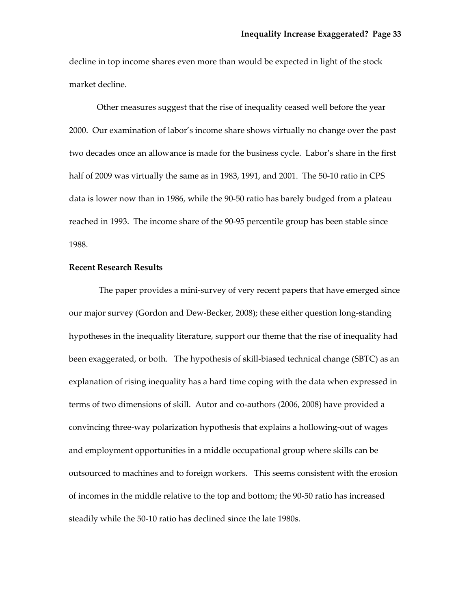decline in top income shares even more than would be expected in light of the stock market decline.

Other measures suggest that the rise of inequality ceased well before the year 2000. Our examination of labor's income share shows virtually no change over the past two decades once an allowance is made for the business cycle. Labor's share in the first half of 2009 was virtually the same as in 1983, 1991, and 2001. The 50‐10 ratio in CPS data is lower now than in 1986, while the 90‐50 ratio has barely budged from a plateau reached in 1993. The income share of the 90‐95 percentile group has been stable since 1988.

## **Recent Research Results**

The paper provides a mini-survey of very recent papers that have emerged since our major survey (Gordon and Dew‐Becker, 2008); these either question long‐standing hypotheses in the inequality literature, support our theme that the rise of inequality had been exaggerated, or both. The hypothesis of skill-biased technical change (SBTC) as an explanation of rising inequality has a hard time coping with the data when expressed in terms of two dimensions of skill. Autor and co-authors (2006, 2008) have provided a convincing three‐way polarization hypothesis that explains a hollowing‐out of wages and employment opportunities in a middle occupational group where skills can be outsourced to machines and to foreign workers. This seems consistent with the erosion of incomes in the middle relative to the top and bottom; the 90‐50 ratio has increased steadily while the 50‐10 ratio has declined since the late 1980s.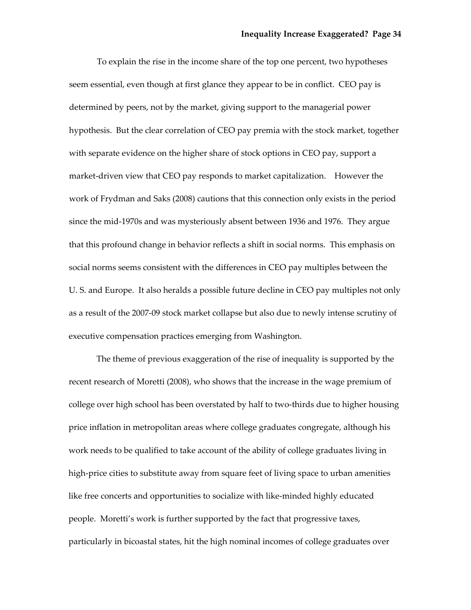To explain the rise in the income share of the top one percent, two hypotheses seem essential, even though at first glance they appear to be in conflict. CEO pay is determined by peers, not by the market, giving support to the managerial power hypothesis. But the clear correlation of CEO pay premia with the stock market, together with separate evidence on the higher share of stock options in CEO pay, support a market‐driven view that CEO pay responds to market capitalization. However the work of Frydman and Saks (2008) cautions that this connection only exists in the period since the mid‐1970s and was mysteriously absent between 1936 and 1976. They argue that this profound change in behavior reflects a shift in social norms. This emphasis on social norms seems consistent with the differences in CEO pay multiples between the U. S. and Europe. It also heralds a possible future decline in CEO pay multiples not only as a result of the 2007‐09 stock market collapse but also due to newly intense scrutiny of executive compensation practices emerging from Washington.

The theme of previous exaggeration of the rise of inequality is supported by the recent research of Moretti (2008), who shows that the increase in the wage premium of college over high school has been overstated by half to two‐thirds due to higher housing price inflation in metropolitan areas where college graduates congregate, although his work needs to be qualified to take account of the ability of college graduates living in high-price cities to substitute away from square feet of living space to urban amenities like free concerts and opportunities to socialize with like‐minded highly educated people. Moretti's work is further supported by the fact that progressive taxes, particularly in bicoastal states, hit the high nominal incomes of college graduates over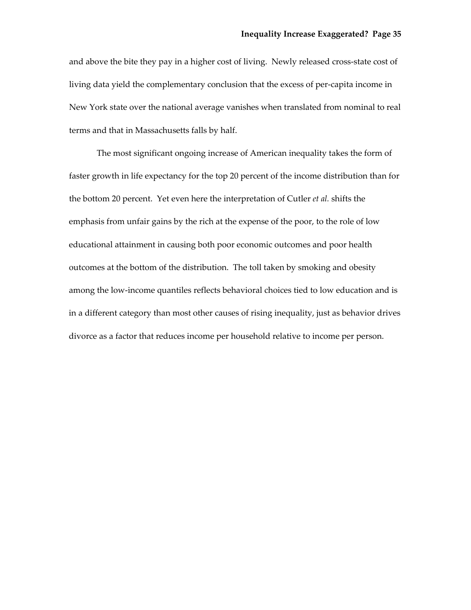and above the bite they pay in a higher cost of living. Newly released cross-state cost of living data yield the complementary conclusion that the excess of per‐capita income in New York state over the national average vanishes when translated from nominal to real terms and that in Massachusetts falls by half.

The most significant ongoing increase of American inequality takes the form of faster growth in life expectancy for the top 20 percent of the income distribution than for the bottom 20 percent. Yet even here the interpretation of Cutler *et al.* shifts the emphasis from unfair gains by the rich at the expense of the poor, to the role of low educational attainment in causing both poor economic outcomes and poor health outcomes at the bottom of the distribution. The toll taken by smoking and obesity among the low‐income quantiles reflects behavioral choices tied to low education and is in a different category than most other causes of rising inequality, just as behavior drives divorce as a factor that reduces income per household relative to income per person.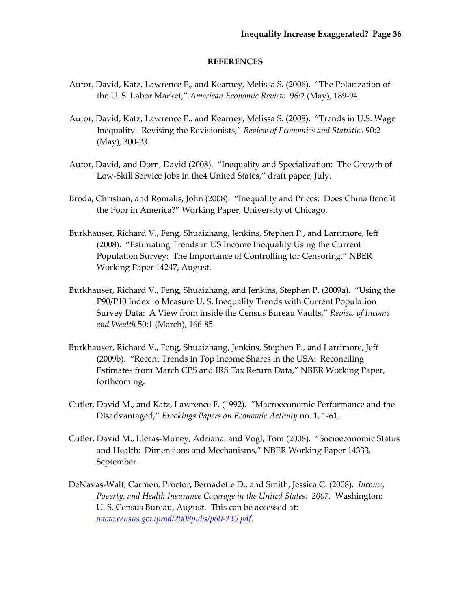### **REFERENCES**

- Autor, David, Katz, Lawrence F., and Kearney, Melissa S. (2006). "The Polarization of the U. S. Labor Market," *American Economic Review* 96:2 (May), 189‐94.
- Autor, David, Katz, Lawrence F., and Kearney, Melissa S. (2008). "Trends in U.S. Wage Inequality: Revising the Revisionists," *Review of Economics and Statistics* 90:2 (May), 300‐23.
- Autor, David, and Dorn, David (2008). "Inequality and Specialization: The Growth of Low‐Skill Service Jobs in the4 United States," draft paper, July.
- Broda, Christian, and Romalis, John (2008). "Inequality and Prices: Does China Benefit the Poor in America?" Working Paper, University of Chicago.
- Burkhauser, Richard V., Feng, Shuaizhang, Jenkins, Stephen P., and Larrimore, Jeff (2008). "Estimating Trends in US Income Inequality Using the Current Population Survey: The Importance of Controlling for Censoring," NBER Working Paper 14247, August.
- Burkhauser, Richard V., Feng, Shuaizhang, and Jenkins, Stephen P. (2009a). "Using the P90/P10 Index to Measure U. S. Inequality Trends with Current Population Survey Data: A View from inside the Census Bureau Vaults," *Review of Income and Wealth* 50:1 (March), 166‐85.
- Burkhauser, Richard V., Feng, Shuaizhang, Jenkins, Stephen P., and Larrimore, Jeff (2009b). "Recent Trends in Top Income Shares in the USA: Reconciling Estimates from March CPS and IRS Tax Return Data," NBER Working Paper, forthcoming.
- Cutler, David M., and Katz, Lawrence F. (1992). "Macroeconomic Performance and the Disadvantaged," *Brookings Papers on Economic Activity* no. 1, 1‐61.
- Cutler, David M., Lleras‐Muney, Adriana, and Vogl, Tom (2008). "Socioeconomic Status and Health: Dimensions and Mechanisms," NBER Working Paper 14333, September.
- DeNavas‐Walt, Carmen, Proctor, Bernadette D., and Smith, Jessica C. (2008). *Income, Poverty, and Health Insurance Coverage in the United States: 2007.* Washington: U. S. Census Bureau, August. This can be accessed at: *[www.census.gov/prod/2008pubs/p60](http://www.census.gov/prod/2008pubs/p60-235.pdf)‐235.pdf.*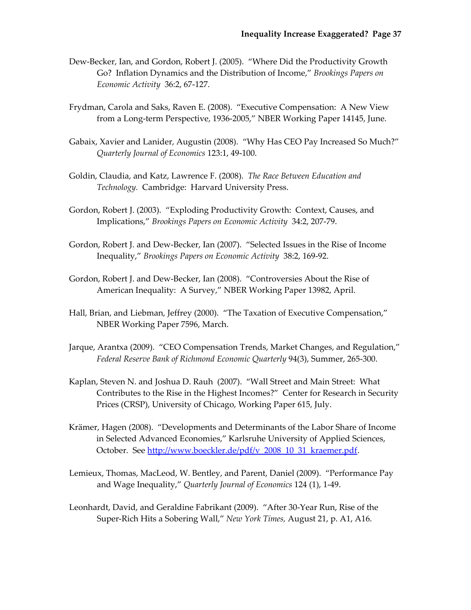- Dew‐Becker, Ian, and Gordon, Robert J. (2005). "Where Did the Productivity Growth Go? Inflation Dynamics and the Distribution of Income," *Brookings Papers on Economic Activity* 36:2, 67‐127.
- Frydman, Carola and Saks, Raven E. (2008). "Executive Compensation: A New View from a Long‐term Perspective, 1936‐2005," NBER Working Paper 14145, June.
- Gabaix, Xavier and Lanider, Augustin (2008). "Why Has CEO Pay Increased So Much?" *Quarterly Journal of Economics* 123:1, 49‐100.
- Goldin, Claudia, and Katz, Lawrence F. (2008). *The Race Between Education and Technology.* Cambridge: Harvard University Press.
- Gordon, Robert J. (2003). "Exploding Productivity Growth: Context, Causes, and Implications," *Brookings Papers on Economic Activity* 34:2, 207‐79.
- Gordon, Robert J. and Dew‐Becker, Ian (2007). "Selected Issues in the Rise of Income Inequality," *Brookings Papers on Economic Activity* 38:2, 169‐92.
- Gordon, Robert J. and Dew‐Becker, Ian (2008). "Controversies About the Rise of American Inequality: A Survey," NBER Working Paper 13982, April.
- Hall, Brian, and Liebman, Jeffrey (2000). "The Taxation of Executive Compensation," NBER Working Paper 7596, March.
- Jarque, Arantxa (2009). "CEO Compensation Trends, Market Changes, and Regulation," *Federal Reserve Bank of Richmond Economic Quarterly* 94(3), Summer, 265‐300.
- Kaplan, Steven N. and Joshua D. Rauh (2007). "Wall Street and Main Street: What Contributes to the Rise in the Highest Incomes?" Center for Research in Security Prices (CRSP), University of Chicago, Working Paper 615, July.
- Krämer, Hagen (2008). "Developments and Determinants of the Labor Share of Income in Selected Advanced Economies," Karlsruhe University of Applied Sciences, October. See [http://www.boeckler.de/pdf/v\\_2008\\_10\\_31\\_kraemer.pdf.](http://www.boeckler.de/pdf/v_2008_10_31_kraemer.pdf)
- Lemieux, Thomas, MacLeod, W. Bentley, and Parent, Daniel (2009). "Performance Pay and Wage Inequality," *Quarterly Journal of Economics* 124 (1), 1‐49.
- Leonhardt, David, and Geraldine Fabrikant (2009). "After 30‐Year Run, Rise of the Super‐Rich Hits a Sobering Wall," *New York Times,* August 21, p. A1, A16.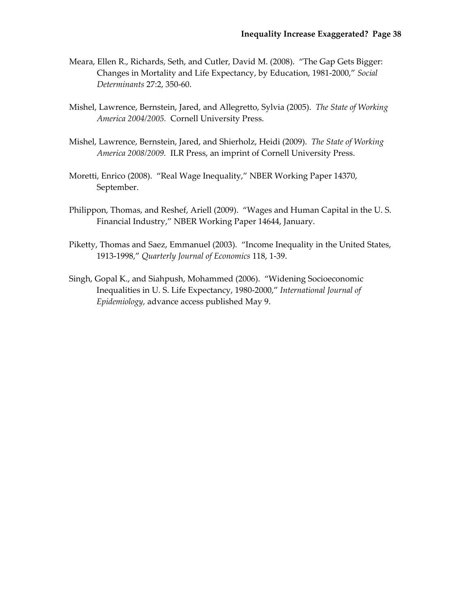- Meara, Ellen R., Richards, Seth, and Cutler, David M. (2008). "The Gap Gets Bigger: Changes in Mortality and Life Expectancy, by Education, 1981‐2000," *Social Determinants* 27:2, 350‐60.
- Mishel, Lawrence, Bernstein, Jared, and Allegretto, Sylvia (2005). *The State of Working America 2004/2005.* Cornell University Press.
- Mishel, Lawrence, Bernstein, Jared, and Shierholz, Heidi (2009). *The State of Working America 2008/2009.* ILR Press, an imprint of Cornell University Press.
- Moretti, Enrico (2008). "Real Wage Inequality," NBER Working Paper 14370, September.
- Philippon, Thomas, and Reshef, Ariell (2009). "Wages and Human Capital in the U. S. Financial Industry," NBER Working Paper 14644, January.
- Piketty, Thomas and Saez, Emmanuel (2003). "Income Inequality in the United States, 1913‐1998," *Quarterly Journal of Economics* 118, 1‐39.
- Singh, Gopal K., and Siahpush, Mohammed (2006). "Widening Socioeconomic Inequalities in U. S. Life Expectancy, 1980‐2000," *International Journal of Epidemiology,* advance access published May 9.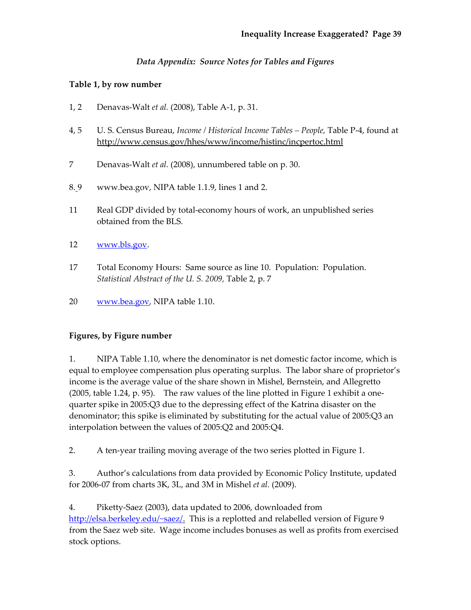# *Data Appendix: Source Notes for Tables and Figures*

# **Table 1, by row number**

- 1, 2 Denavas‐Walt *et al.* (2008), Table A‐1, p. 31.
- 4, 5 U. S. Census Bureau, *Income / Historical Income Tables – People,* Table P‐4, found at http://www.census.gov/hhes/www/income/histinc/incpertoc.html
- 7 Denavas‐Walt *et al.* (2008), unnumbered table on p. 30.
- 8. 9 www.bea.gov, NIPA table 1.1.9, lines 1 and 2.
- 11 Real GDP divided by total‐economy hours of work, an unpublished series obtained from the BLS.
- 12 [www.bls.gov](http://www.bls.gov/).
- 17 Total Economy Hours: Same source as line 10. Population: Population. *Statistical Abstract of the U. S. 2009,* Table 2, p. 7
- 20 [www.bea.gov](http://www.bea.gov/), NIPA table 1.10.

# **Figures, by Figure number**

1. NIPA Table 1.10, where the denominator is net domestic factor income, which is equal to employee compensation plus operating surplus. The labor share of proprietor's income is the average value of the share shown in Mishel, Bernstein, and Allegretto (2005, table 1.24, p. 95). The raw values of the line plotted in Figure 1 exhibit a onequarter spike in 2005:Q3 due to the depressing effect of the Katrina disaster on the denominator; this spike is eliminated by substituting for the actual value of 2005:Q3 an interpolation between the values of 2005:Q2 and 2005:Q4.

2. A ten-year trailing moving average of the two series plotted in Figure 1.

3. Author's calculations from data provided by Economic Policy Institute, updated for 2006‐07 from charts 3K, 3L, and 3M in Mishel *et al.* (2009).

4. Piketty‐Saez (2003), data updated to 2006, downloaded from [http://elsa.berkeley.edu/~saez/.](http://elsa.berkeley.edu/%7Esaez/) This is a replotted and relabelled version of Figure 9 from the Saez web site. Wage income includes bonuses as well as profits from exercised stock options.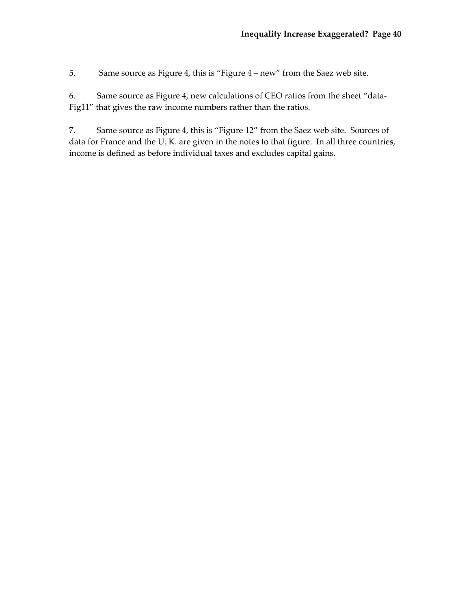5. Same source as Figure 4, this is "Figure 4 – new" from the Saez web site.

6. Same source as Figure 4, new calculations of CEO ratios from the sheet "data‐ Fig11" that gives the raw income numbers rather than the ratios.

7. Same source as Figure 4, this is "Figure 12" from the Saez web site. Sources of data for France and the U. K. are given in the notes to that figure. In all three countries, income is defined as before individual taxes and excludes capital gains.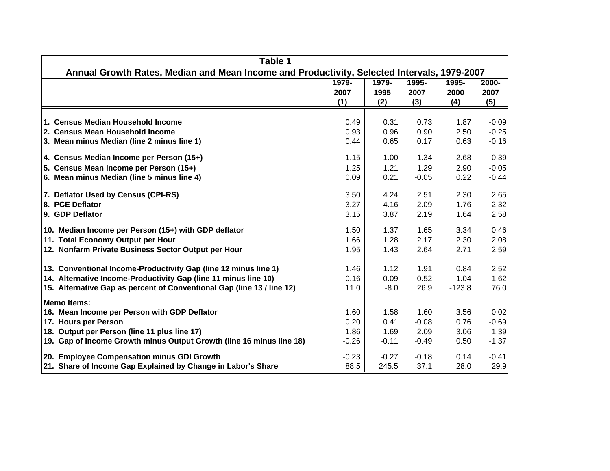| Table 1                                                                                     |                      |                      |                      |                      |                      |
|---------------------------------------------------------------------------------------------|----------------------|----------------------|----------------------|----------------------|----------------------|
| Annual Growth Rates, Median and Mean Income and Productivity, Selected Intervals, 1979-2007 |                      |                      |                      |                      |                      |
|                                                                                             | 1979-<br>2007<br>(1) | 1979-<br>1995<br>(2) | 1995-<br>2007<br>(3) | 1995-<br>2000<br>(4) | 2000-<br>2007<br>(5) |
| 1. Census Median Household Income                                                           | 0.49                 | 0.31                 | 0.73                 | 1.87                 | $-0.09$              |
| 2. Census Mean Household Income                                                             | 0.93                 | 0.96                 | 0.90                 | 2.50                 | $-0.25$              |
| 3. Mean minus Median (line 2 minus line 1)                                                  | 0.44                 | 0.65                 | 0.17                 | 0.63                 | $-0.16$              |
| 4. Census Median Income per Person (15+)                                                    | 1.15                 | 1.00                 | 1.34                 | 2.68                 | 0.39                 |
| 5. Census Mean Income per Person (15+)                                                      | 1.25                 | 1.21                 | 1.29                 | 2.90                 | $-0.05$              |
| 6. Mean minus Median (line 5 minus line 4)                                                  | 0.09                 | 0.21                 | $-0.05$              | 0.22                 | $-0.44$              |
| 7. Deflator Used by Census (CPI-RS)                                                         | 3.50                 | 4.24                 | 2.51                 | 2.30                 | 2.65                 |
| 8. PCE Deflator                                                                             | 3.27                 | 4.16                 | 2.09                 | 1.76                 | 2.32                 |
| 9. GDP Deflator                                                                             | 3.15                 | 3.87                 | 2.19                 | 1.64                 | 2.58                 |
| 10. Median Income per Person (15+) with GDP deflator                                        | 1.50                 | 1.37                 | 1.65                 | 3.34                 | 0.46                 |
| 11. Total Economy Output per Hour                                                           | 1.66                 | 1.28                 | 2.17                 | 2.30                 | 2.08                 |
| 12. Nonfarm Private Business Sector Output per Hour                                         | 1.95                 | 1.43                 | 2.64                 | 2.71                 | 2.59                 |
| 13. Conventional Income-Productivity Gap (line 12 minus line 1)                             | 1.46                 | 1.12                 | 1.91                 | 0.84                 | 2.52                 |
| 14. Alternative Income-Productivity Gap (line 11 minus line 10)                             | 0.16                 | $-0.09$              | 0.52                 | $-1.04$              | 1.62                 |
| 15. Alternative Gap as percent of Conventional Gap (line 13 / line 12)                      | 11.0                 | $-8.0$               | 26.9                 | $-123.8$             | 76.0                 |
| <b>Memo Items:</b>                                                                          |                      |                      |                      |                      |                      |
| 16. Mean Income per Person with GDP Deflator                                                | 1.60                 | 1.58                 | 1.60                 | 3.56                 | 0.02                 |
| 17. Hours per Person                                                                        | 0.20                 | 0.41                 | $-0.08$              | 0.76                 | $-0.69$              |
| 18. Output per Person (line 11 plus line 17)                                                | 1.86                 | 1.69                 | 2.09                 | 3.06                 | 1.39                 |
| 19. Gap of Income Growth minus Output Growth (line 16 minus line 18)                        | $-0.26$              | $-0.11$              | $-0.49$              | 0.50                 | $-1.37$              |
| 20. Employee Compensation minus GDI Growth                                                  | $-0.23$              | $-0.27$              | $-0.18$              | 0.14                 | $-0.41$              |
| 21. Share of Income Gap Explained by Change in Labor's Share                                | 88.5                 | 245.5                | 37.1                 | 28.0                 | 29.9                 |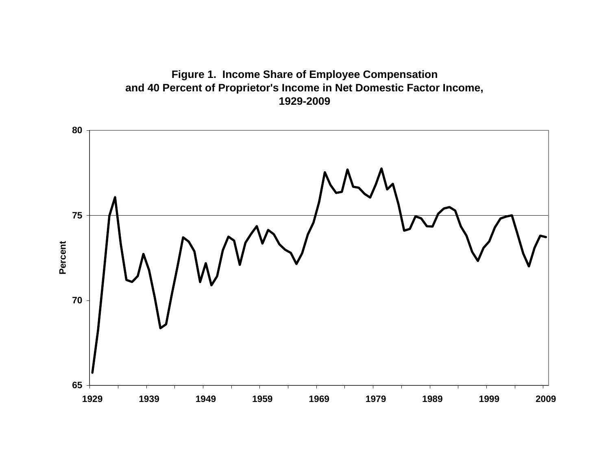

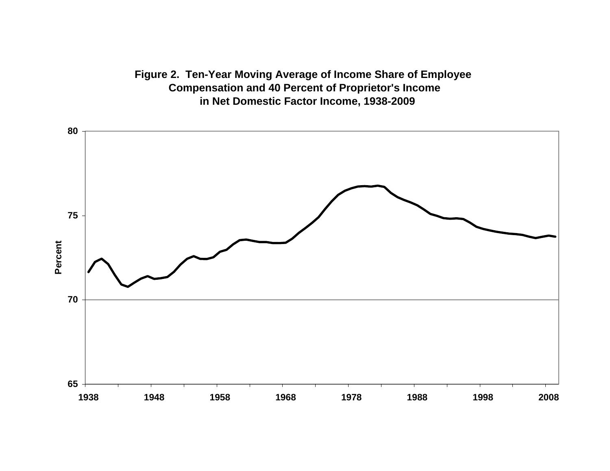**Figure 2. Ten-Year Moving Average of Income Share of Employee Compensation and 40 Percent of Proprietor's Income in Net Domestic Factor Income, 1938-2009**

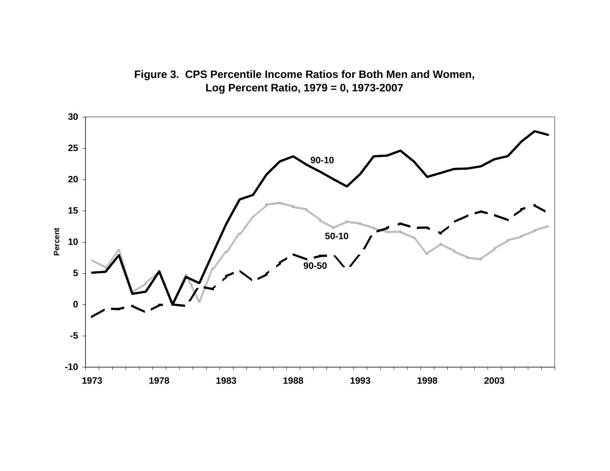

**Figure 3. CPS Percentile Income Ratios for Both Men and Women, Log Percent Ratio, 1979 = 0, 1973-2007**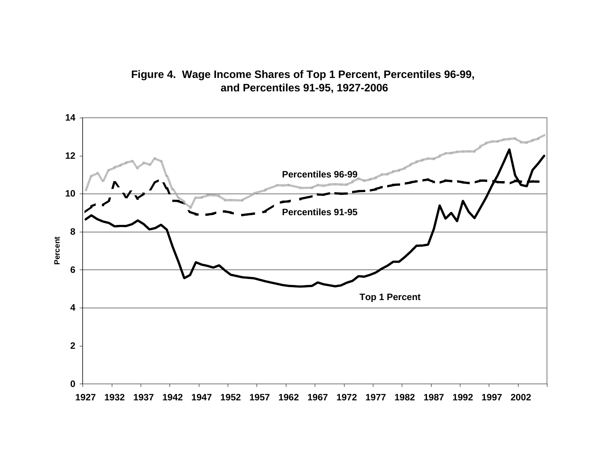

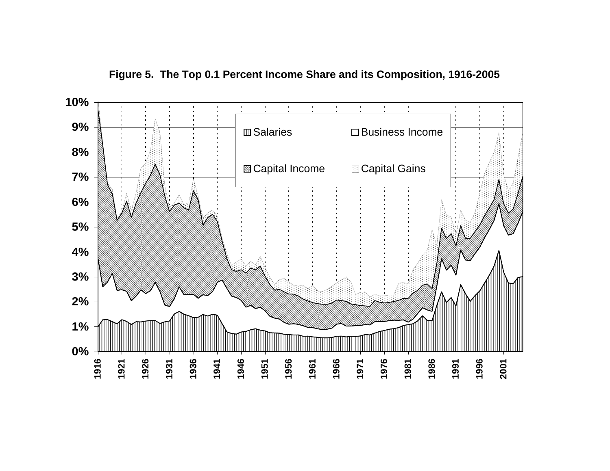

**Figure 5. The Top 0.1 Percent Income Share and its Composition, 1916-2005**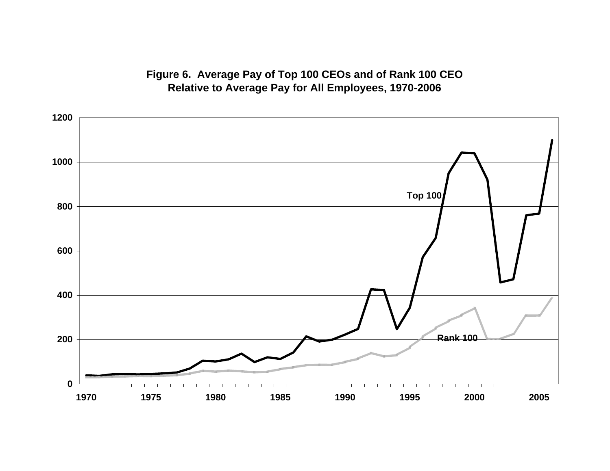**Figure 6. Average Pay of Top 100 CEOs and of Rank 100 CEO Relative to Average Pay for All Employees, 1970-2006**